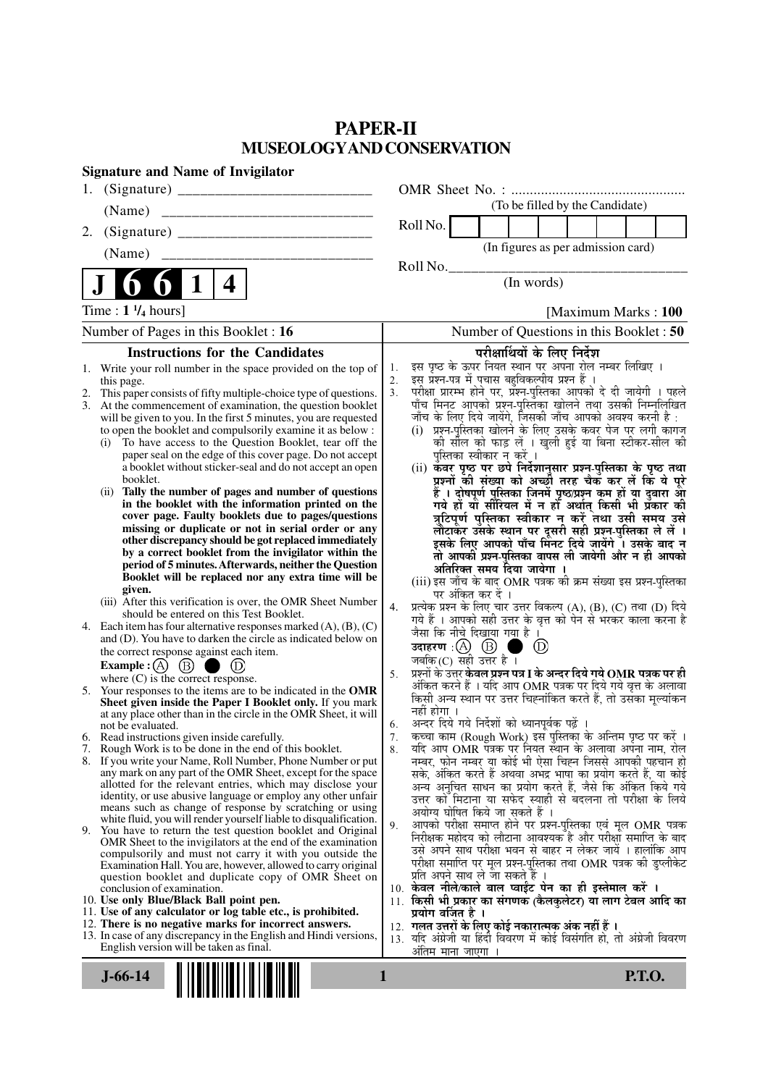# **PAPER-II MUSEOLOGYAND CONSERVATION**

| <b>Signature and Name of Invigilator</b>                                                                                      |                                                                                                                                                       |
|-------------------------------------------------------------------------------------------------------------------------------|-------------------------------------------------------------------------------------------------------------------------------------------------------|
|                                                                                                                               |                                                                                                                                                       |
| (Name)                                                                                                                        | (To be filled by the Candidate)                                                                                                                       |
| 2.                                                                                                                            | Roll No.                                                                                                                                              |
| (Name)                                                                                                                        | (In figures as per admission card)                                                                                                                    |
|                                                                                                                               | Roll No.                                                                                                                                              |
| $\mathbf 1$<br>4                                                                                                              | (In words)                                                                                                                                            |
| Time : $1 \frac{1}{4}$ hours]                                                                                                 | [Maximum Marks: 100]                                                                                                                                  |
| Number of Pages in this Booklet : 16                                                                                          | Number of Questions in this Booklet: 50                                                                                                               |
| <b>Instructions for the Candidates</b>                                                                                        | परीक्षार्थियों के लिए निर्देश                                                                                                                         |
| Write your roll number in the space provided on the top of<br>1.                                                              | इस पृष्ठ के ऊपर नियत स्थान पर अपना रोल नम्बर लिखिए ।<br>इस प्रश्न-पत्र में पुचास बहुविकल्पीय प्रश्न हैं ।<br>1.<br>2.                                 |
| this page.<br>This paper consists of fifty multiple-choice type of questions.                                                 | .<br>परीक्षा प्रारम्भ होने पर, प्रश्न-पुस्तिका आपको दे दी जायेगी । पहले<br>पाँच मिनट आपको प्रश्न-पुस्तिका खोलने तथा उसकी निम्नलिखित<br>3 <sub>1</sub> |
| 3.<br>At the commencement of examination, the question booklet                                                                |                                                                                                                                                       |
| will be given to you. In the first 5 minutes, you are requested<br>to open the booklet and compulsorily examine it as below : | जाँच के लिए दिये जायेंगे, जिसकी जाँच आपको अवश्य करनी है :<br>(i) प्रश्न-पुस्तिका खोलने के लिए उसके कवर पेज पर लगी कागज                                |
| To have access to the Question Booklet, tear off the<br>(i)                                                                   | की सील को फाड़ लें । खुली हुई या बिना स्टीकर-सील की                                                                                                   |
| paper seal on the edge of this cover page. Do not accept                                                                      | पुस्तिका स्वीकार न करें ।                                                                                                                             |
| a booklet without sticker-seal and do not accept an open<br>booklet.                                                          | (ii) कवर पृष्ठ पर छपे निर्देशानुसार प्रश्न्-पुस्तिका के पृष्ठ तथा<br>प्रश्नों की संख्या को अच्छौ तरह चैक कर लें कि ये पूरे                            |
| (ii) Tally the number of pages and number of questions                                                                        | हैं । दोषपूर्ण पुस्तिका जिनमें पृष्ठ/प्रश्न कम हों या दुबारा आ<br>गये हों या सीरियल में न हो अर्थात् किसी भी प्रकार की                                |
| in the booklet with the information printed on the<br>cover page. Faulty booklets due to pages/questions                      |                                                                                                                                                       |
| missing or duplicate or not in serial order or any                                                                            | त्रुटिपूर्ण पुस्तिका स्वीकार न् करें तथा उसी समय उसे<br>लौटाकर उसके स्थान पर दूसरी सही प्रश्न-पुस्तिका ले लें ।                                       |
| other discrepancy should be got replaced immediately                                                                          | इसके लिए आपको पाँच मिंनट दिये जायेंगे ँ। उसके बाद न                                                                                                   |
| by a correct booklet from the invigilator within the<br>period of 5 minutes. Afterwards, neither the Question                 | तो आपकी प्रश्न-पुस्तिका वापस ली जायेगी और न ही आपको                                                                                                   |
| Booklet will be replaced nor any extra time will be                                                                           | अतिरिक्त समय दिया जायेगा ।<br>(iii) इस जाँच के बाद OMR पत्रक की क्रम संख्या इस प्रश्न-पुस्तिका                                                        |
| given.<br>(iii) After this verification is over, the OMR Sheet Number                                                         | पर अंकित कर दें ।                                                                                                                                     |
| should be entered on this Test Booklet.                                                                                       | प्रत्येक प्रश्न के लिए चार उत्तर विकल्प (A), (B), (C) तथा (D) दिये<br>4.<br>गये हैं । आपको सही उत्तर के वृत्त को पेन से भरकर काला करना है             |
| 4. Each item has four alternative responses marked $(A)$ , $(B)$ , $(C)$                                                      | जैसा कि नीचे दिखाया गया है ।                                                                                                                          |
| and (D). You have to darken the circle as indicated below on<br>the correct response against each item.                       | $\circled{D}$<br>a se                                                                                                                                 |
| Example : $(A)$ $(B)$<br>(D)                                                                                                  | जबकि (C) सही उत्तर है $\overline{\phantom{a}}$ ।                                                                                                      |
| where $(C)$ is the correct response.                                                                                          | प्रश्नों के उत्तर <b>केवल प्रश्न पत्र I के अन्दर दिये गये OMR पत्रक पर ही</b><br>5.<br>अंकित करने हैं । यदि आप OMR पत्रक पर दिये गये वृत्त के अलावा   |
| 5. Your responses to the items are to be indicated in the OMR<br>Sheet given inside the Paper I Booklet only. If you mark     | किसी अन्य स्थान पर उत्तर चिह्नांकित करते हैं, तो उसका मूल्यांकन                                                                                       |
| at any place other than in the circle in the OMR Sheet, it will                                                               | नहीं होगा ।                                                                                                                                           |
| not be evaluated.<br>6. Read instructions given inside carefully.                                                             | अन्दर दिये गये निर्देशों को ध्यानपूर्वक पढ़ें ।<br>6.<br>कच्चा काम (Rough Work) इस पुस्तिका के अन्तिम पृष्ठ पर करें ।<br>7.                           |
| 7. Rough Work is to be done in the end of this booklet.                                                                       | यदि आप OMR पत्रक पर नियत स्थान के अलावा अपना नाम, रोल<br>8.                                                                                           |
| 8. If you write your Name, Roll Number, Phone Number or put                                                                   | नम्बर, फोन नम्बर या कोई भी ऐसा चिह्न जिससे आपकी पहचान हो                                                                                              |
| any mark on any part of the OMR Sheet, except for the space<br>allotted for the relevant entries, which may disclose your     | सके, अंकित करते हैं अथवा अभद्र भाषा का प्रयोग करते हैं, या कोई<br>अन्य अनुचित साधन का प्रयोग करते हैं, जैसे कि अंकित किये गये                         |
| identity, or use abusive language or employ any other unfair                                                                  | उत्तर को मिटाना या सफेद स्याही से बदलना तो परीक्षा के लिये                                                                                            |
| means such as change of response by scratching or using<br>white fluid, you will render yourself liable to disqualification.  | अयोग्य घोषित किये जा सकते हैं ।                                                                                                                       |
| 9. You have to return the test question booklet and Original                                                                  | आपको परीक्षा समाप्त होने पर प्रश्न-पुस्तिका एवं मूल OMR पत्रक<br>9.<br>निरीक्षक महोदय को लौटाना आवश्यक है और परीक्षा समाप्ति के बाद                   |
| OMR Sheet to the invigilators at the end of the examination<br>compulsorily and must not carry it with you outside the        | उसे अपने साथ परीक्षा भवन से बाहर न लेकर जायें । हालांकि आप                                                                                            |
| Examination Hall. You are, however, allowed to carry original                                                                 | परीक्षा समाप्ति पर मूल प्रश्न-पुस्तिका तथा OMR पत्रक की डुप्लीकेट                                                                                     |
| question booklet and duplicate copy of OMR Sheet on<br>conclusion of examination.                                             | प्रति अपने साथ ले जा सकते है ।<br>10. केवल नीले/काले बाल प्वाईंट पेन का ही इस्तेमाल करें ।                                                            |
| 10. Use only Blue/Black Ball point pen.                                                                                       | 11. किसी भी प्रकार का संगणक (कैलकुलेटर) या लाग टेबल आदि का                                                                                            |
| 11. Use of any calculator or log table etc., is prohibited.<br>12. There is no negative marks for incorrect answers.          | प्रयोग वर्जित है ।<br>12. गलत उत्तरों के लिए कोई नकारात्मक अंक नहीं हैं ।                                                                             |
| 13. In case of any discrepancy in the English and Hindi versions,                                                             | 13. यदि अंग्रेजी या हिंदी विवरण में कोई विसंगति हो, तो अंग्रेजी विवरण                                                                                 |
| English version will be taken as final.                                                                                       | अंतिम माना जाएगा                                                                                                                                      |
| $J-66-14$                                                                                                                     | 1<br><b>P.T.O.</b>                                                                                                                                    |
|                                                                                                                               |                                                                                                                                                       |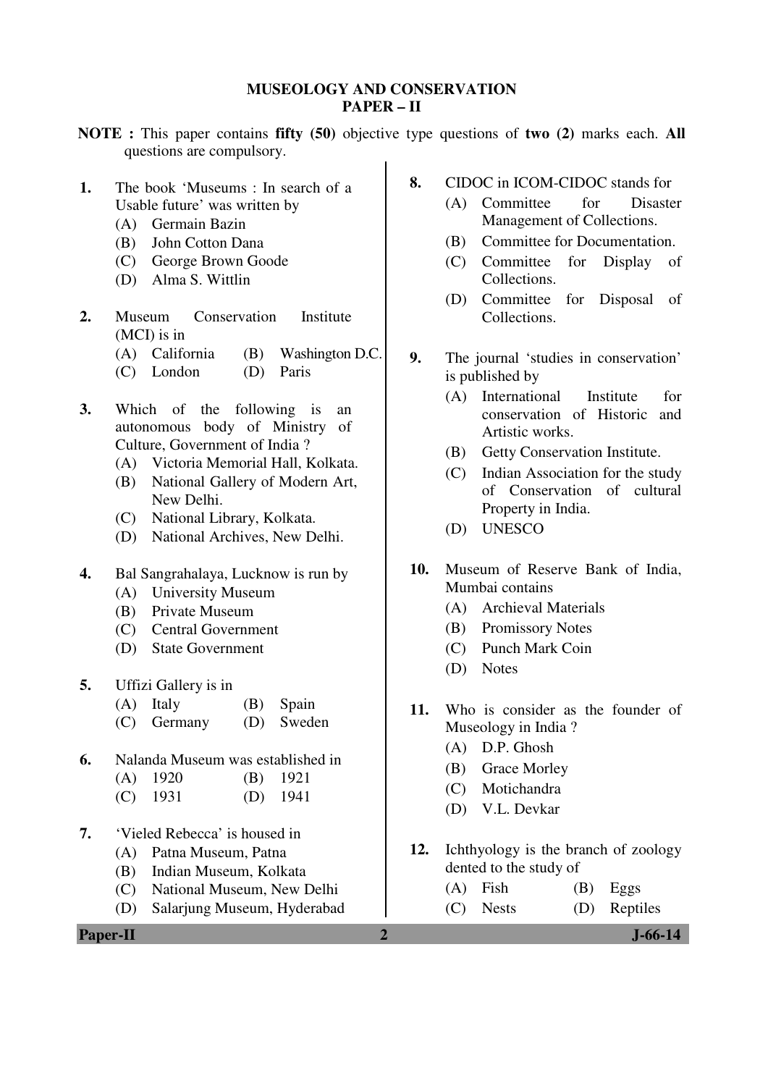#### **MUSEOLOGY AND CONSERVATION PAPER – II**

- **NOTE :** This paper contains **fifty (50)** objective type questions of **two (2)** marks each. **All** questions are compulsory.
- **1.** The book 'Museums : In search of a Usable future' was written by
	- (A) Germain Bazin
	- (B) John Cotton Dana
	- (C) George Brown Goode
	- (D) Alma S. Wittlin
- **2.** Museum Conservation Institute (MCI) is in
	- (A) California (B) Washington D.C.
	- (C) London (D) Paris
- **3.** Which of the following is an autonomous body of Ministry of Culture, Government of India ?
	- (A) Victoria Memorial Hall, Kolkata.
	- (B) National Gallery of Modern Art, New Delhi.
	- (C) National Library, Kolkata.
	- (D) National Archives, New Delhi.
- **4.** Bal Sangrahalaya, Lucknow is run by
	- (A) University Museum
	- (B) Private Museum
	- (C) Central Government
	- (D) State Government
- **5.** Uffizi Gallery is in
	- (A) Italy (B) Spain
	- (C) Germany (D) Sweden
- **6.** Nalanda Museum was established in
	- (A) 1920 (B) 1921
	- (C) 1931 (D) 1941
- **7.** 'Vieled Rebecca' is housed in
	- (A) Patna Museum, Patna
	- (B) Indian Museum, Kolkata
	- (C) National Museum, New Delhi
	- (D) Salarjung Museum, Hyderabad
- **8.** CIDOC in ICOM-CIDOC stands for
	- (A) Committee for Disaster Management of Collections.
	- (B) Committee for Documentation.
	- (C) Committee for Display of Collections.
	- (D) Committee for Disposal of Collections.
- **9.** The journal 'studies in conservation' is published by
	- (A) International Institute for conservation of Historic and Artistic works.
	- (B) Getty Conservation Institute.
	- (C) Indian Association for the study of Conservation of cultural Property in India.
	- (D) UNESCO
- **10.** Museum of Reserve Bank of India, Mumbai contains
	- (A) Archieval Materials
	- (B) Promissory Notes
	- (C) Punch Mark Coin
	- (D) Notes
- **11.** Who is consider as the founder of Museology in India ?
	- (A) D.P. Ghosh
	- (B) Grace Morley
	- (C) Motichandra
	- (D) V.L. Devkar
- **12.** Ichthyology is the branch of zoology dented to the study of
	- $(A)$  Fish  $(B)$  Eggs (C) Nests (D) Reptiles

**Paper-II 2 J-66-14**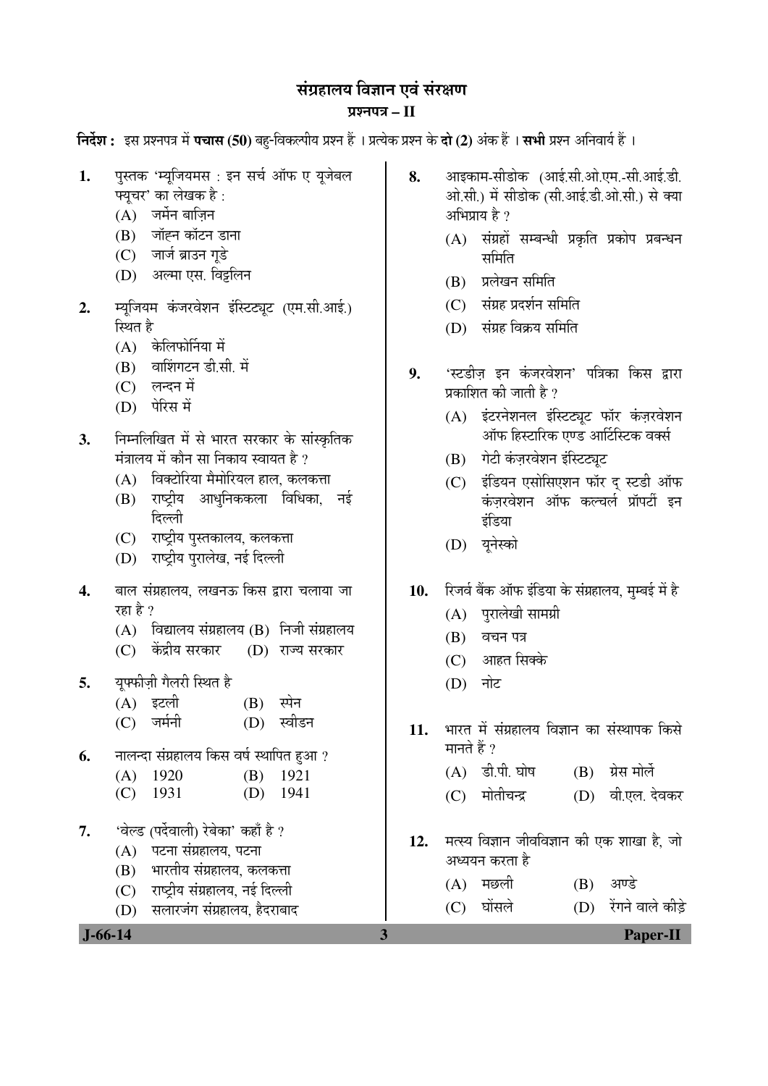## संग्रहालय विज्ञान एवं संरक्षण

### प्रश्नपत्र – II

**निर्देश :** इस प्रश्नपत्र में **पचास (50)** बह-विकल्पीय प्रश्न हैं । प्रत्येक प्रश्न के **दो (2)** अंक हैं । सभी प्रश्न अनिवार्य हैं ।

- 1. पुस्तक 'म्युजियमस : इन सर्च ऑफ ए युजेबल फ्युचर' का लेखक है :
	- $(A)$  जर्मेन बाज़िन
	- $(B)$  जॉहन कॉटन डाना
	- $(C)$  जार्ज ब्राउन गडे
	- (D) अल्मा एस. विइलिन
- 2. म्यूजियम कंजरवेशन इंस्टिट्यूट (एम.सी.आई.) स्थित है
	- $(A)$  केलिफोर्निया में
	- $(B)$  वाशिंगटन डी.सी. में
	- (C) लन्दन में
	- (D) पेरिस में
- 3. निम्नलिखित में से भारत सरकार के सांस्कृतिक मंत्रालय में कौन सा निकाय स्वायत है ?
	- $(A)$  विक्टोरिया मैमोरियल हाल. कलकत्ता
	- (B) राष्ट्रीय आधुनिककला विधिका, नई दिल्ली
	- (C) राष्ट्रीय पुस्तकालय, कलकत्ता
	- (D) राष्ट्रीय पुरालेख, नई दिल्ली
- 4. बाल संग्रहालय. लखनऊ किस द्वारा चलाया जा रहा है ?
	- $(A)$  विद्यालय संग्रहालय  $(B)$  निजी संग्रहालय
	- (C) केंद्रीय सरकार (D) राज्य सरकार
- **5.** युफ्फीज़ी गैलरी स्थित है
	- (A) इटली (B) स्पेन (C) जर्मनी (D) स्वीडन
- **6.** नालन्दा संग्रहालय किस वर्ष स्थापित हुआ ?

| $(A)$ 1920 | $(B)$ 1921 |
|------------|------------|

- (C) 1931 (D) 1941
- **7.** 'वेल्ड (पर्देवाली) रेबेका' कहाँ है ?
	- $(A)$  पटना संग्रहालय, पटना
	- (B) भारतीय संग्रहालय, कलकत्ता
	- (C) राष्ट्रीय संग्रहालय, नई दिल्ली
	- (D) सलारजंग संग्रहालय, हैदराबाद
- **8.** आइकाम-सीडोक (आई.सी.ओ.एम.-सी.आई.डी. ओ.सी.) में सीडोक (सी.आई.डी.ओ.सी.) से क्या अभिप्राय है ?
	- $(A)$  संग्रहों सम्बन्धी प्रकृति प्रकोप प्रबन्धन समिति
	- (B) प्रलेखन समिति
	- (C) संग्रह प्रदर्शन समिति
	- (D) संग्रह विक्रय समिति
- 9. 'स्टडीज इन कंजरवेशन' पत्रिका किस द्वारा प्रकाशित की जाती है ?
	- (A) इंटरनेशनल इंस्टिट्यूट फॉर कंज़रवेशन ऑफ हिस्टारिक एण्ड आर्टिस्टिक वर्क्स
	- (B) गेटी कंज़रवेशन इंस्टिट्यट
	- (C) इंडियन एसोसिएशन फॉर द स्टडी ऑफ कंजरवेशन ऑफ कल्चर्ल प्रॉपर्टी इन इंडिया
	- (D) यनेस्को
- 10. रिजर्व बैंक ऑफ इंडिया के संग्रहालय, मुम्बई में है
	- $(A)$  पुरालेखी सामग्री
	- $(B)$  वचन पत्र
	- $(C)$  आहत सिक्के
	- $(D)$  नोट
- 11. भारत में संग्रहालय विज्ञान का संस्थापक किसे मानते हैं ?
	- $(A)$  डी.पी. घोष  $(B)$  ग्रेस मोर्ले
	- (C) मोतीचन्द्र (D) वी.एल. देवकर
- 12. मत्स्य विज्ञान जीवविज्ञान की एक शाखा है. जो अध्ययन करता है
	- $(A)$  मछली  $(B)$  अण्डे
	- (C) घोंसले (D) रेंगने वाले कीडे

 **J-66-14 3 Paper-II**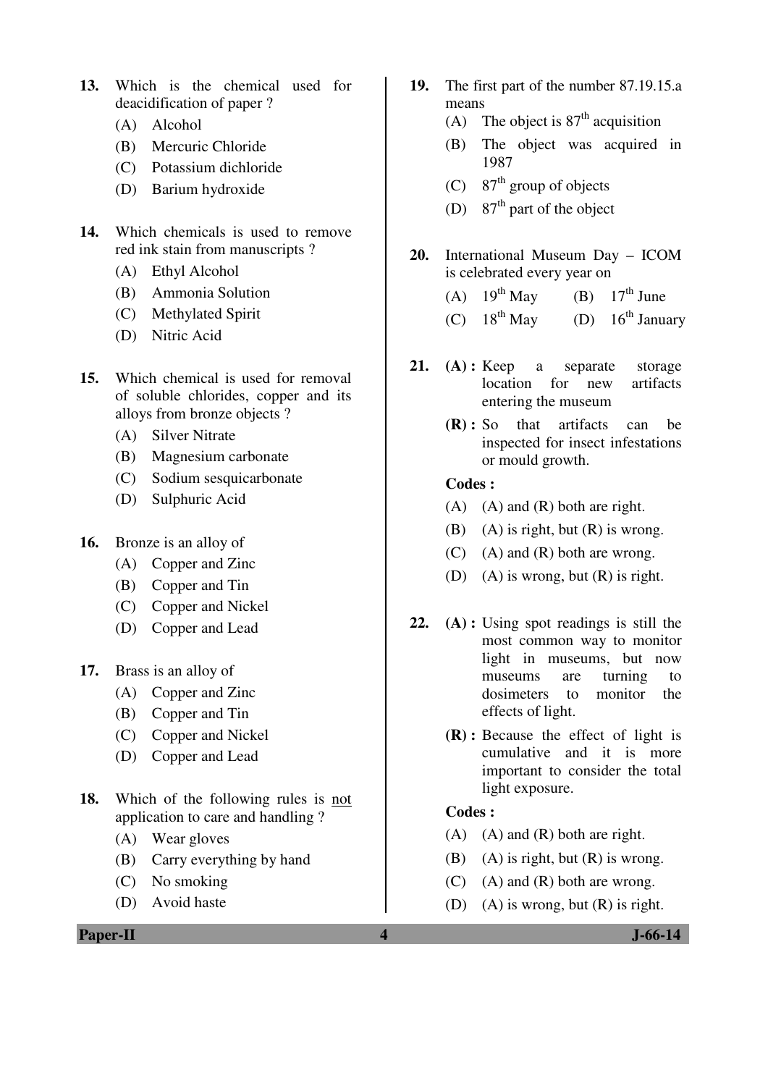- **13.** Which is the chemical used for deacidification of paper ?
	- (A) Alcohol
	- (B) Mercuric Chloride
	- (C) Potassium dichloride
	- (D) Barium hydroxide
- **14.** Which chemicals is used to remove red ink stain from manuscripts ?
	- (A) Ethyl Alcohol
	- (B) Ammonia Solution
	- (C) Methylated Spirit
	- (D) Nitric Acid
- **15.** Which chemical is used for removal of soluble chlorides, copper and its alloys from bronze objects ?
	- (A) Silver Nitrate
	- (B) Magnesium carbonate
	- (C) Sodium sesquicarbonate
	- (D) Sulphuric Acid
- **16.** Bronze is an alloy of
	- (A) Copper and Zinc
	- (B) Copper and Tin
	- (C) Copper and Nickel
	- (D) Copper and Lead
- **17.** Brass is an alloy of
	- (A) Copper and Zinc
	- (B) Copper and Tin
	- (C) Copper and Nickel
	- (D) Copper and Lead
- **18.** Which of the following rules is not application to care and handling ?
	- (A) Wear gloves
	- (B) Carry everything by hand
	- (C) No smoking
	- (D) Avoid haste
- **19.** The first part of the number 87.19.15.a means
	- (A) The object is  $87<sup>th</sup>$  acquisition
	- (B) The object was acquired in 1987
	- (C)  $87<sup>th</sup>$  group of objects
	- (D)  $87<sup>th</sup>$  part of the object
- **20.** International Museum Day ICOM is celebrated every year on
	- (A)  $19^{th}$  May (B)  $17^{th}$  June
	- (C)  $18^{th}$  May (D)  $16^{th}$  January
- **21. (A) :** Keep a separate storage location for new artifacts entering the museum
	- **(R) :** So that artifacts can be inspected for insect infestations or mould growth.

- $(A)$   $(A)$  and  $(R)$  both are right.
- (B) (A) is right, but  $(R)$  is wrong.
- (C) (A) and (R) both are wrong.
- (D) (A) is wrong, but (R) is right.
- **22. (A) :** Using spot readings is still the most common way to monitor light in museums, but now museums are turning to dosimeters to monitor the effects of light.
	- **(R) :** Because the effect of light is cumulative and it is more important to consider the total light exposure.

### **Codes :**

- $(A)$   $(A)$  and  $(R)$  both are right.
- (B) (A) is right, but  $(R)$  is wrong.
- $(C)$  (A) and  $(R)$  both are wrong.
- (D) (A) is wrong, but  $(R)$  is right.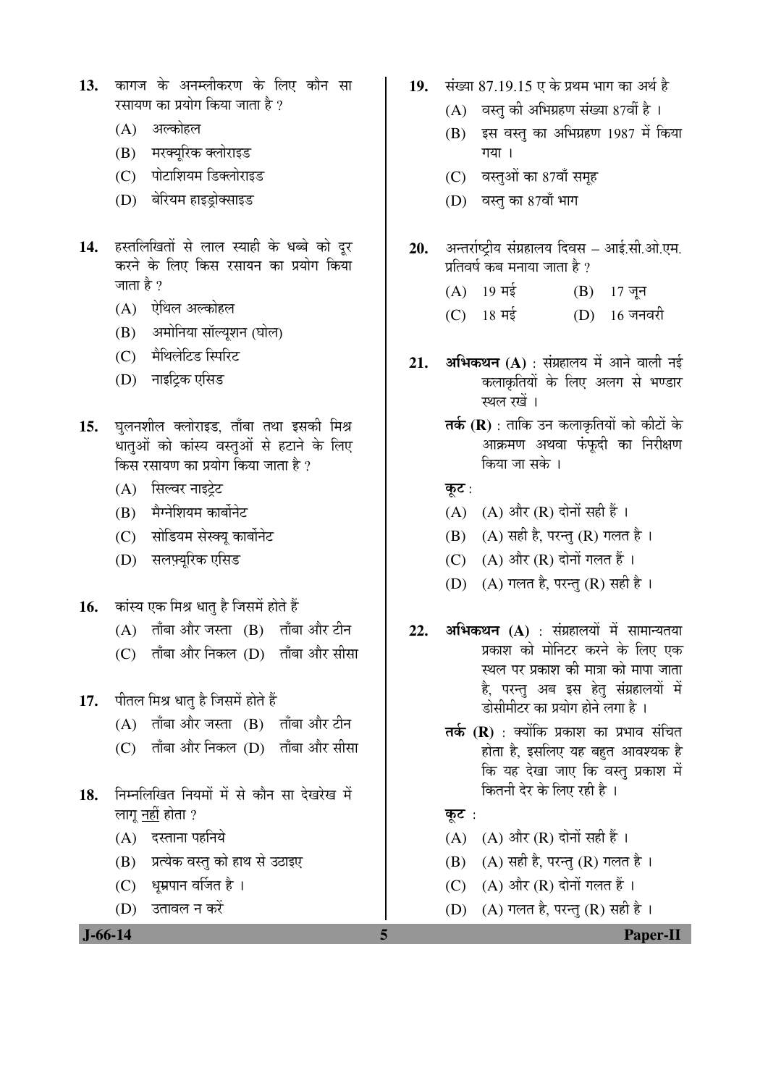- 13. कागज के अनम्लीकरण के लिए कौन सा रसायण का प्रयोग किया जाता है ?
	- (A) अल्कोहल
	- (B) मरक्यूरिक क्लोराइड
	- (C) पोटाशियम डिक्लोराइड
	- (D) बेरियम हाइड्रोक्साइड
- 14. हस्तलिखितों से लाल स्याही के धब्बे को दूर करने के लिए किस रसायन का प्रयोग किया जाता है ?
	- $(A)$  ऐथिल अल्कोहल
	- (B) अमोनिया सॉल्यशन (घोल)
	- (C) मैथिलेटिड स्पिरिट
	- (D) नाइटिक एसिड
- 15. घुलनशील क्लोराइड, ताँबा तथा इसकी मिश्र धातुओं को कांस्य वस्तुओं से हटाने के लिए किस रसायण का प्रयोग किया जाता है ?
	- (A) सिल्वर नाइटेट
	- (B) मैग्नेशियम कार्बोनेट
	- (C) सोडियम सेस्क्य कार्बोनेट
	- (D) सलफ्यरिक एसिड
- 16. Þaiस्य एक मिश्र धात् है जिसमें होते हैं
	- $(A)$  ताँबा और जस्ता  $(B)$  ताँबा और टीन
	- $(C)$  ताँबा और निकल $(D)$  ताँबा और सीसा
- 17. पीतल मिश्र धात् है जिसमें होते हैं
	- $(A)$  ताँबा और जस्ता  $(B)$  ताँबा और टीन
	- (C) ताँबा और निकल (D) ताँबा और सीसा
- 18. ਜਿਸਗਿਰਿਗ नियमों में से कौन सा देखरेख में लागू <u>नहीं</u> होता ?
	- $(A)$  दस्ताना पहनिये
	- (B) प्रत्येक वस्तु को हाथ से उठाइए
	- $(C)$  धुम्रपान वर्जित है ।
	- (D) उतावल न करें

- 19. संख्या 87.19.15 ए के प्रथम भाग का अर्थ है
	- $(A)$  वस्तु की अभिग्रहण संख्या 87वीं है।
	- $(B)$  दस वस्तु का अभिग्रहण 1987 में किया  $\overline{\eta}$ या।
	- (C) वस्तुओं का 87वाँ समूह
	- $(D)$  वस्तु का 87वाँ भाग
- 20. ¥अन्तर्राष्ट्रीय संग्रहालय दिवस आई.सी.ओ.एम. प्रतिवर्ष कब मनाया जाता है ?
	- $(A)$  19 मई  $(B)$  17 जून
	- (C)  $18 \text{ H}\frac{1}{8}$  (D)  $16 \text{ H}\frac{1}{8}$
- **21. अभिकथन (A)** : संग्रहालय में आने वाली नई कलाकृतियों के लिए अलग से भण्डार स्थल रखें ।
	- **तर्क (R)** : ताकि उन कलाकृतियों को कीटों के आक्रमण अथवा फंफदी का निरीक्षण किया जा सके ।
	- कूट $:$
	- $(A)$   $(A)$  और  $(R)$  दोनों सही हैं।
	- (B)  $(A)$  सही है, परन्तु (R) गलत है।
	- (C)  $(A)$  और  $(R)$  दोनों गलत हैं।
	- (D)  $(A)$  गलत है, परन्तु (R) सही है ।
- **22. अभिकथन (A)** : संग्रहालयों में सामान्यतया प्रकाश को मोनिटर करने के लिए एक स्थल पर प्रकाश की मात्रा को मापा जाता है, परन्तु अब इस हेतु संग्रहालयों में डोसीमीटर का प्रयोग होने लगा है ।
	- **तर्क (R)** : क्योंकि प्रकाश का प्रभाव संचित होता है, इसलिए यह बहुत आवश्यक है कि यह देखा जाए कि वस्तु प्रकाश में कितनी देर के लिए रही है)।
	- कूट $:$
	- (A)  $(A)$  और  $(R)$  दोनों सही हैं।
	- $(B)$   $(A)$  सही है, परन्तु  $(R)$  गलत है।
	- (C)  $(A)$  और  $(R)$  दोनों गलत हैं।
	- (D)  $(A)$  गलत है, परन्तु (R) सही है ।

 **J-66-14 5 Paper-II**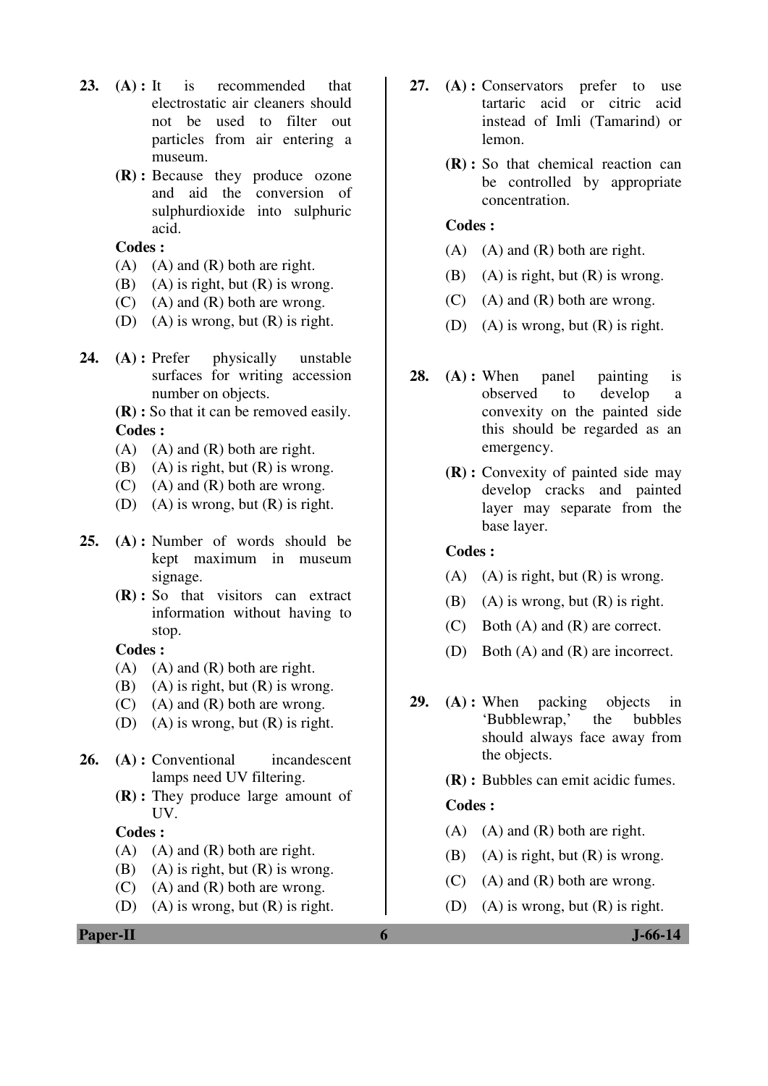- **23. (A) :** It is recommended that electrostatic air cleaners should not be used to filter out particles from air entering a museum.
	- **(R) :** Because they produce ozone and aid the conversion of sulphurdioxide into sulphuric acid.

- $(A)$   $(A)$  and  $(R)$  both are right.
- (B) (A) is right, but  $(R)$  is wrong.
- $(C)$  (A) and  $(R)$  both are wrong.
- (D) (A) is wrong, but  $(R)$  is right.
- **24. (A) :** Prefer physically unstable surfaces for writing accession number on objects.

**(R) :** So that it can be removed easily. **Codes :** 

- (A) (A) and (R) both are right.
- (B) (A) is right, but  $(R)$  is wrong.
- (C) (A) and (R) both are wrong.
- (D) (A) is wrong, but  $(R)$  is right.
- **25. (A) :** Number of words should be kept maximum in museum signage.
	- **(R) :** So that visitors can extract information without having to stop.

#### **Codes :**

- $(A)$   $(A)$  and  $(R)$  both are right.
- (B) (A) is right, but  $(R)$  is wrong.
- $(C)$  (A) and  $(R)$  both are wrong.
- (D) (A) is wrong, but (R) is right.
- **26. (A) :** Conventional incandescent lamps need UV filtering.
	- **(R) :** They produce large amount of UV.

#### **Codes :**

- $(A)$   $(A)$  and  $(R)$  both are right.
- (B) (A) is right, but  $(R)$  is wrong.
- $(C)$  (A) and  $(R)$  both are wrong.
- (D) (A) is wrong, but  $(R)$  is right.
- **Paper-II 6 J-66-14**
- **27. (A) :** Conservators prefer to use tartaric acid or citric acid instead of Imli (Tamarind) or lemon.
	- **(R) :** So that chemical reaction can be controlled by appropriate concentration.

### **Codes :**

- $(A)$   $(A)$  and  $(R)$  both are right.
- (B) (A) is right, but  $(R)$  is wrong.
- $(C)$  (A) and  $(R)$  both are wrong.
- (D) (A) is wrong, but (R) is right.
- **28. (A) :** When panel painting is observed to develop a convexity on the painted side this should be regarded as an emergency.
	- **(R) :** Convexity of painted side may develop cracks and painted layer may separate from the base layer.

#### **Codes :**

- (A) (A) is right, but  $(R)$  is wrong.
- (B) (A) is wrong, but  $(R)$  is right.
- (C) Both (A) and (R) are correct.
- (D) Both (A) and (R) are incorrect.
- **29. (A) :** When packing objects in 'Bubblewrap,' the bubbles should always face away from the objects.
	- **(R) :** Bubbles can emit acidic fumes.

#### **Codes :**

- $(A)$   $(A)$  and  $(R)$  both are right.
- (B) (A) is right, but  $(R)$  is wrong.
- $(C)$  (A) and  $(R)$  both are wrong.
- (D) (A) is wrong, but (R) is right.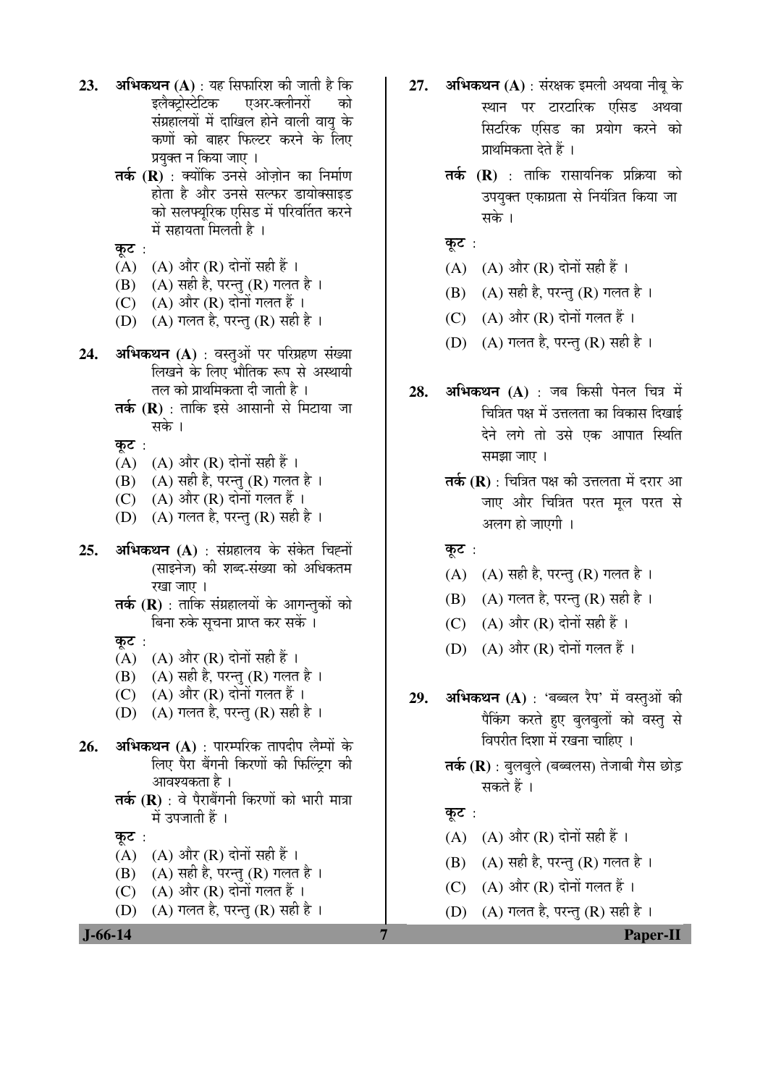- **23. अभिकथन (A)** : यह सिफारिश की जाती है कि<br>इलैक्टोस्टेटिक एअर-क्लीनरों को एअर-क्लीनरों को संग्रहालयों में दाखिल होने वाली वायु के कणों को बाहर फिल्टर करने के लिए प्रयुक्त न किया जाए ।
	- **तर्क (R)** : क्योंकि उनसे ओज़ोन का निर्माण होता है और उनसे सल्फर डायोक्साइड को सलफ्युरिक एसिड में परिवर्तित करने  $\vec{H}$  सहायता मिलती है।

कट $:$ 

- (A)  $(A)$  और (R) दोनों सही हैं ।
- (B)  $(A)$  सही है, परन्तु (R) गलत है ।
- (C)  $(A)$  और  $(R)$  दोनों गलत हैं।
- $(D)$   $(A)$  गलत है, परन्तु  $(R)$  सही है ।
- **24. अभिकथन (A)** : वस्तुओं पर परिग्रहण संख्या लिखने के लिए भौतिक रूप से अस्थायी तल को प्राथमिकता दी जाती है ।
	- **तर्क (R)** : ताकि इसे आसानी से मिटाया जा सके ।

कट $:$ 

- $(A)$   $(A)$  और  $(R)$  दोनों सही हैं।
- (B)  $(A)$  सही है, परन्तु (R) गलत है ।
- $(C)$   $(A)$  और  $(R)$  दोनों गलत हैं।
- (D)  $(A)$  गलत है, परन्तु (R) सही है ।
- **25. अभिकथन (A)** : संग्रहालय के संकेत चिह्नों (साइनेज) की शब्द-संख्या को अधिकतम रखा जाए ।
	- **तर्क (R)** : ताकि संग्रहालयों के आगन्तकों को बिना रुके सूचना प्राप्त कर सकें ।

कूट :

- (A)  $(A)$  और (R) दोनों सही हैं ।
- (B)  $(A)$  सही है, परन्तु (R) गलत है।
- $(C)$   $(A)$  और  $(R)$  दोनों गलत हैं।
- (D)  $(A)$  गलत है, परन्त (R) सही है।
- **26. अभिकथन (A)** : पारम्परिक तापदीप लैम्पों के लिए पैरा बैंगनी किरणों की फिल्ट्रिंग की आवश्यकता है ।
	- **तर्क (R)** : वे पैराबैंगनी किरणों को भारी मात्रा में उपजाती हैं ।

कूट :

- (A)  $(A)$  और (R) दोनों सही हैं ।
- (B) (A) सही है, परन्तु (R) गलत है।
- $(C)$   $(A)$  और  $(R)$  दोनों गलत हैं।
- $(D)$   $(A)$  गलत है, परन्तु  $(R)$  सही है ।
- **27. अभिकथन (A)** : संरक्षक इमली अथवा नीबु के स्थान पर टारटारिक एसिड अथवा सिटरिक एसिड का प्रयोग करने को प्राथमिकता देते हैं ।
	- **तर्क (R)** : ताकि रासायनिक प्रक्रिया को उपयुक्त एकाग्रता से नियंत्रित किया जा सके ।
	- कूट :
	- (A)  $(A)$  और (R) दोनों सही हैं।
	- (B) (A) सही है, परन्तु (R) गलत है।
	- $(C)$   $(A)$  और  $(R)$  दोनों गलत हैं।
	- (D)  $(A)$  गलत है, परन्तु (R) सही है ।
- **28. अभिकथन (A)** : जब किसी पेनल चित्र में चित्रित पक्ष में उत्तलता का विकास दिखाई देने लगे तो उसे एक आपात स्थिति समझा जाए ।
	- **तर्क (R)** : चित्रित पक्ष की उत्तलता में दरार आ जाए और चित्रित परत मुल परत स<mark>े</mark> अलग हो जाएगी ।

कूट :

- $(A)$   $(A)$  सही है, परन्तु  $(R)$  गलत है।
- (B)  $(A)$  गलत है, परन्तु (R) सही है ।
- (C)  $(A)$  और  $(R)$  दोनों सही हैं।
- $(D)$   $(A)$  और  $(R)$  दोनों गलत हैं।
- **29. अभिकथन (A)** : 'बब्बल रैप' में वस्तुओं की <u>पैकिंग करते हुए बुलबुलों को वस्तु</u> से विपरीत दिशा में रखना चाहिए ।
	- **तर्क (R)** : बुलबुले (बब्बलस) तेजाबी गैस छोड़ सकते हैं ।

#### कूट $:$

- $(A)$   $(A)$  और  $(R)$  दोनों सही हैं।
- (B)  $(A)$  सही है, परन्तु (R) गलत है।
- (C)  $(A)$  और  $(R)$  दोनों गलत हैं।
- (D)  $(A)$  गलत है, परन्तु (R) सही है।

 **J-66-14 7 Paper-II**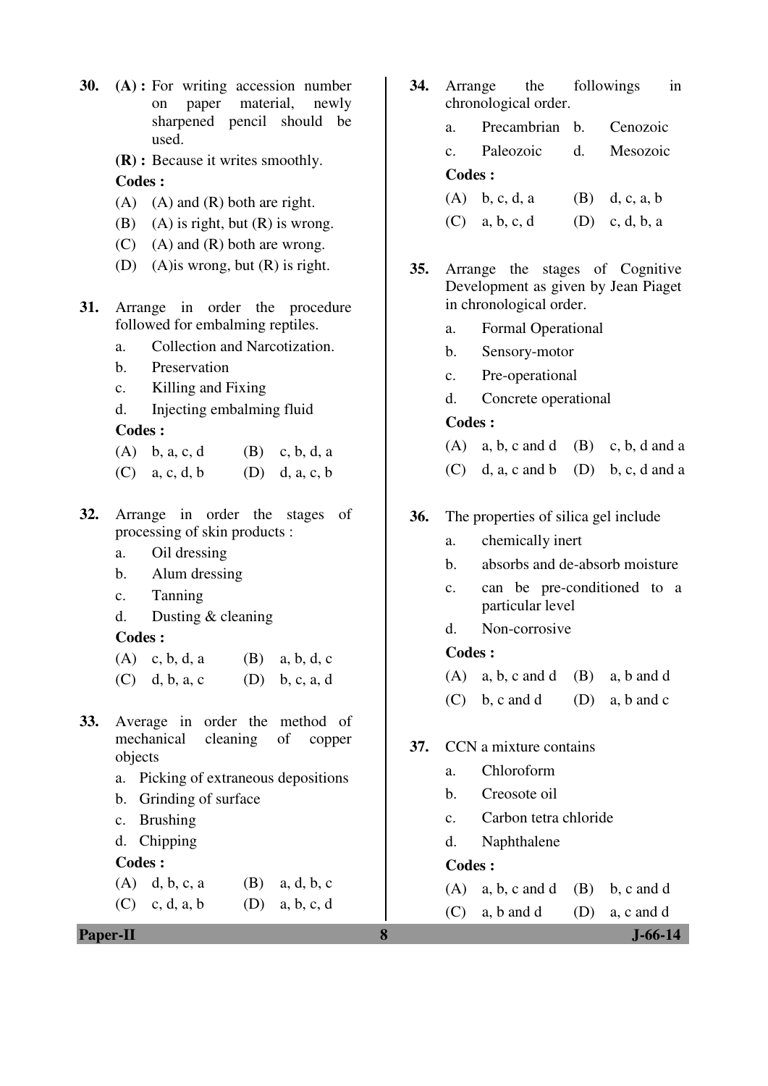- **30. (A) :** For writing accession number on paper material, newly sharpened pencil should be used.
	- **(R) :** Because it writes smoothly. **Codes :**
	- $(A)$   $(A)$  and  $(R)$  both are right.
	- (B) (A) is right, but  $(R)$  is wrong.
	- $(C)$  (A) and  $(R)$  both are wrong.
	- (D) (A)is wrong, but (R) is right.
- **31.** Arrange in order the procedure followed for embalming reptiles.
	- a. Collection and Narcotization.
	- b. Preservation
	- c. Killing and Fixing
	- d. Injecting embalming fluid

- (A) b, a, c, d (B) c, b, d, a
- (C) a, c, d, b (D) d, a, c, b
- **32.** Arrange in order the stages of processing of skin products :
	- a. Oil dressing
	- b. Alum dressing
	- c. Tanning
	- d. Dusting & cleaning

#### **Codes :**

 $(A)$  c, b, d, a  $(B)$  a, b, d, c (C) d, b, a, c (D) b, c, a, d

- **33.** Average in order the method of mechanical cleaning of copper objects
	- a. Picking of extraneous depositions
	- b. Grinding of surface
	- c. Brushing
	- d. Chipping

#### **Codes :**

(A) d, b, c, a (B) a, d, b, c (C) c, d, a, b (D) a, b, c, d

**Paper-II 8 J-66-14**

- **34.** Arrange the followings in chronological order.
	- a. Precambrian b. Cenozoic
	- c. Paleozoic d. Mesozoic

## **Codes :**

| $(A)$ b, c, d, a | $(B)$ d, c, a, b |
|------------------|------------------|
| $(C)$ a, b, c, d | $(D)$ c, d, b, a |

- **35.** Arrange the stages of Cognitive Development as given by Jean Piaget in chronological order.
	- a. Formal Operational
	- b. Sensory-motor
	- c. Pre-operational
	- d. Concrete operational

#### **Codes :**

- (A) a, b, c and d (B) c, b, d and a
- $(C)$  d, a, c and b  $(D)$  b, c, d and a

#### **36.** The properties of silica gel include

- a. chemically inert
- b. absorbs and de-absorb moisture
- c. can be pre-conditioned to a particular level
- d. Non-corrosive

#### **Codes :**

- $(A)$  a, b, c and d  $(B)$  a, b and d
- $(C)$  b, c and d  $(D)$  a, b and c

#### **37.** CCN a mixture contains

- a. Chloroform
- b. Creosote oil
- c. Carbon tetra chloride
- d. Naphthalene

#### **Codes :**

- $(A)$  a, b, c and d  $(B)$  b, c and d
- $(C)$  a, b and d  $(D)$  a, c and d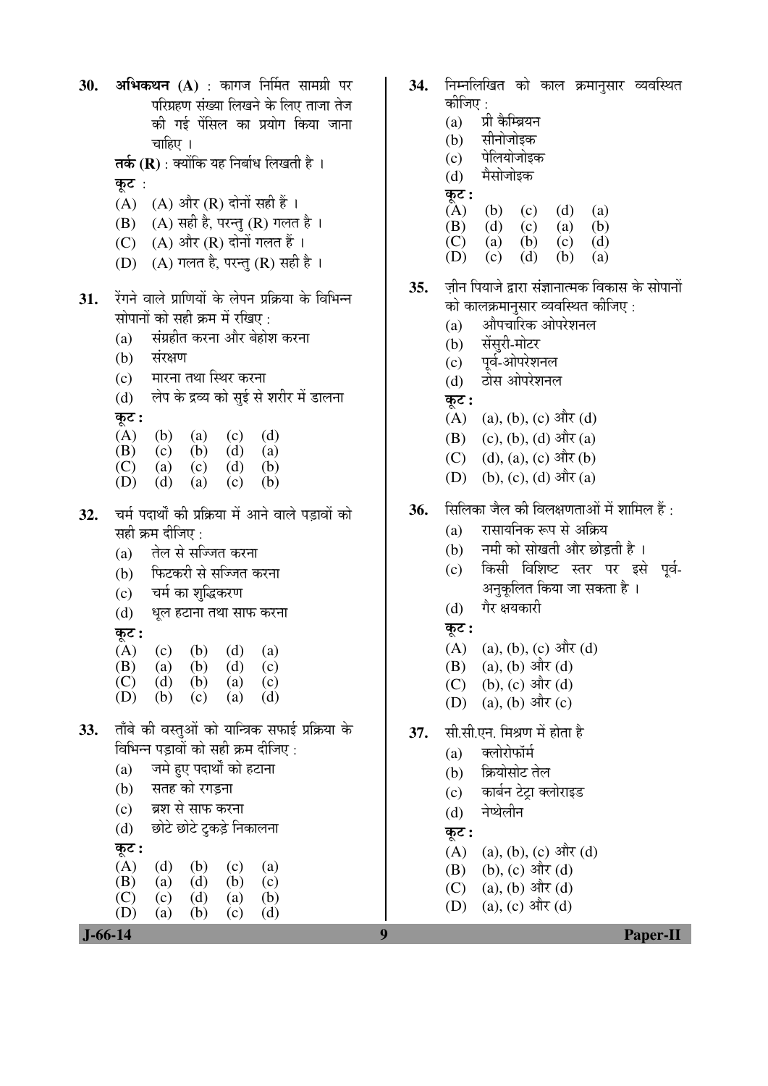30. **अभिकथन (A)** : कागज निर्मित सामग्री पर परिग्रहण संख्या लिखने के लिए ताजा तेज की गई पेंसिल का प्रयोग किया जाना चाहिए ।

**तर्क (R)** : क्योंकि यह निर्बाध लिखती है । कट $:$ 

- $(A)$   $(A)$  और  $(R)$  दोनों सही हैं।
- $(B)$   $(A)$  सही है, परन्तु  $(R)$  गलत है।
- $(C)$   $(A)$  और  $(R)$  दोनों गलत हैं।
- $(D)$   $(A)$  गलत है, परन्तु  $(R)$  सही है ।
- 31. रेंगने वाले प्राणियों के लेपन प्रक्रिया के विभिन्न सोपानों को सही क्रम में रखिए :
	- $(a)$  संग्रहीत करना और बेहोश करना
	- (b) संरक्षण
	- (c) मारना तथा स्थिर करना
	- (d) लेप के द्रव्य को सुई से शरीर में डालना

कट :

|  | (A) (b) (a) (c) (d) |  |
|--|---------------------|--|
|  | (B) (c) (b) (d) (a) |  |

- (C) (a) (c) (d) (b)
- (D) (d) (a) (c) (b)
- 32. चर्म पदार्थों की प्रक्रिया में आने वाले पड़ावों को सही क्रम दीजिए :
	- (a) तेल से सज्जित करना
	- (b) फिटकरी से सज्जित करना
	- (c) चर्म का शुद्धिकरण
	- (d) धूल हटाना तथा साफ करना
	- कट :

|     |          |     | (A) (c) (b) (d) (a) |          |
|-----|----------|-----|---------------------|----------|
|     |          |     | (B) (a) (b) (d) (c) |          |
| (1) | $\Delta$ | (1) | $\sim$              | $(\sim)$ |

- (C) (d) (b) (a) (c) (D) (b) (c) (a) (d)
- 33. ताँबे की वस्तुओं को यान्त्रिक सफाई प्रक्रिया के विभिन्न पडावों को सही क्रम दीजिए :
	- (a) जमे हुए पदार्थों को हटाना
	- (b) सतह को रगड़ना
	- (c) ब्रश से साफ करना
	- (d) छोटे छोटे टकड़े निकालना

 $(A)$   $(d)$   $(b)$   $(c)$   $(a)$  (B) (a) (d) (b) (c) (C) (c) (d) (a) (b) (D) (a) (b) (c) (d)

कूट :

- 34. निम्नलिखित को काल क्रमानुसार व्यवस्थित कोजिए :
	- $(a)$  प्री कैम्ब्रियन
	- (b) सीनोजोइक
	- $(c)$  पेलियोजोइक
	- (d) मैसोजोइक
	- कट :
	- $(A)$  (b) (c) (d) (a)<br>
	(B) (d) (c) (a) (b)
	- (B) (d) (c) (a) (b)
	- (C) (a) (b) (c) (d)
	- (D) (c) (d) (b) (a)
- **35.** ज़ीन पियाजे द्वारा संज्ञानात्मक विकास के सोपानों को कालक्रमानसार व्यवस्थित कीजिए :
	- (a) औपचारिक ओपरेशनल
	- (b) सेंसुरी-मोटर
	- (c) पर्व-ओपरेशनल
	- (d) होस ओपरेशनल
	- कट :
	- $(A)$  (a), (b), (c) और (d)
	- $(B)$  (c), (b), (d) और (a)
	- (C) (d), (a), (c)  $\frac{d}{dt}$ (b)
	- (D) (b), (c), (d)  $\frac{d}{dt}(\mathbf{a})$
- 36. सिलिका जैल की विलक्षणताओं में शामिल हैं:
	- (a) रासायनिक रूप से अक्रिय
	- (b) नमी को सोखती और छोड़ती है)।
	- (c) किसी विशिष्ट स्तर पर इसे पूर्व-अनकलित किया जा सकता है ।
	- (d) गैर क्षयकारी
	- कट :
	- (A) (a), (b), (c)  $\exists \exists \forall x \, (d)$
	- (B) (a), (b) और (d)
	- (C) (b), (c) और (d)
	- (D) (a), (b) और (c)
- **37.** सी.सी.एन. मिश्रण में होता है
	- $(a)$  क्लोरोफॉर्म
	- (b) क्रियोसोट तेल
	- (c) कार्बन टेट्रा क्लोराइड
	- (d) नेप्थेलीन
	- $\overline{\phi}$ :
	- $(A)$  (a), (b), (c) और (d)
	- $(B)$  (b),  $(c)$  और  $(d)$
	- $(C)$  (a), (b) और (d)
	- (D) (a), (c) और (d)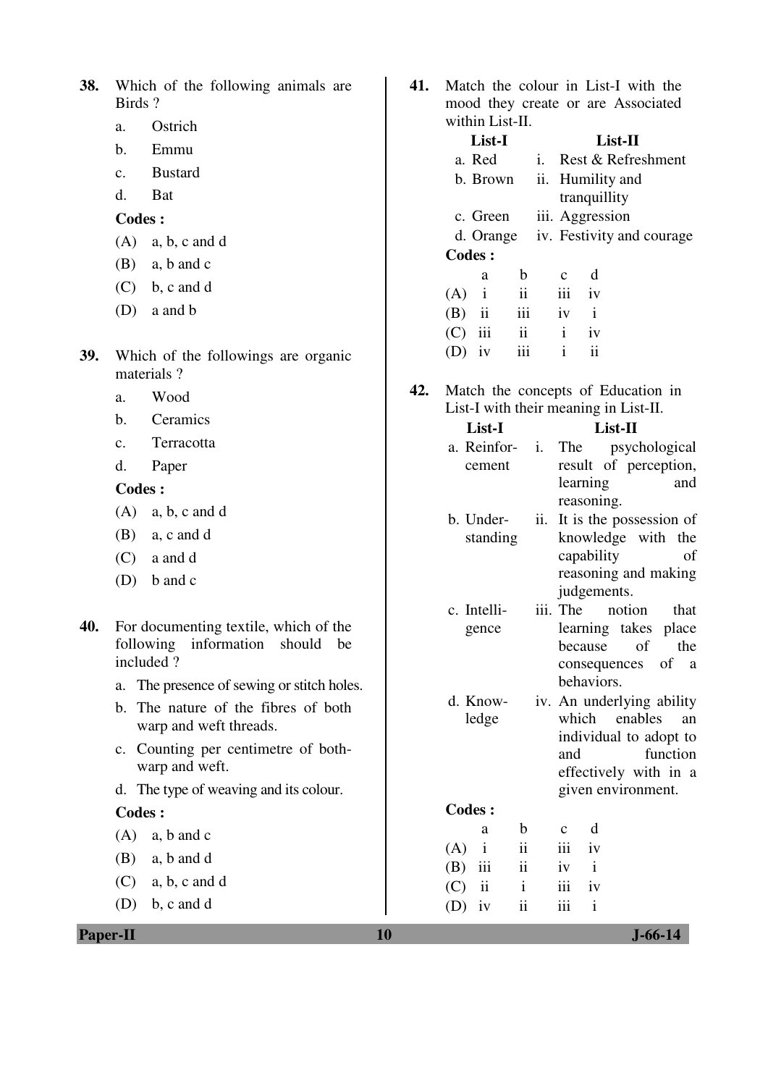| 38. Which of the following animals are |  |  |
|----------------------------------------|--|--|
| Birds?                                 |  |  |

- a. Ostrich
- b. Emmu
- c. Bustard
- d. Bat

- (A) a, b, c and d
- (B) a, b and c
- $(C)$  b, c and d
- (D) a and b
- **39.** Which of the followings are organic materials ?
	- a. Wood
	- b. Ceramics
	- c. Terracotta
	- d. Paper

#### **Codes :**

- (A) a, b, c and d
- (B) a, c and d
- (C) a and d
- (D) b and c
- **40.** For documenting textile, which of the following information should be included ?
	- a. The presence of sewing or stitch holes.
	- b. The nature of the fibres of both warp and weft threads.
	- c. Counting per centimetre of bothwarp and weft.
	- d. The type of weaving and its colour.

#### **Codes :**

- (A) a, b and c (B) a, b and d
- (C) a, b, c and d
- (D) b, c and d

- **41.** Match the colour in List-I with the mood they create or are Associated within List-II.
- **List-I List-II**  a. Red i. Rest & Refreshment b. Brown ii. Humility and tranquillity c. Green iii. Aggression d. Orange iv. Festivity and courage **Codes :**  a b c d
	- $(A)$  i iii iv (B) ii iii iv i (C) iii ii i iv  $(D)$  iv iii i ii
- **42.** Match the concepts of Education in List-I with their meaning in List-II.

| List-I                      |     | List-II            |                                                  |  |
|-----------------------------|-----|--------------------|--------------------------------------------------|--|
| a. Reinfor-                 | i.  | The                | psychological                                    |  |
| cement                      |     |                    | result of perception,                            |  |
|                             |     | learning           | and                                              |  |
|                             |     | reasoning.         |                                                  |  |
| b. Under-                   | ii. |                    | It is the possession of                          |  |
| standing                    |     |                    | knowledge with the                               |  |
|                             |     | capability         | оf                                               |  |
|                             |     |                    | reasoning and making                             |  |
|                             |     | judgements.        |                                                  |  |
| c. Intelli-                 |     | iii. The           | notion<br>that                                   |  |
| gence                       |     |                    | learning takes place                             |  |
|                             |     | because            | of<br>the                                        |  |
|                             |     | behaviors.         | consequences of a                                |  |
| d. Know-                    |     |                    |                                                  |  |
| ledge                       |     |                    | iv. An underlying ability<br>which enables<br>an |  |
|                             |     |                    | individual to adopt to                           |  |
|                             |     | and                | function                                         |  |
|                             |     |                    | effectively with in a                            |  |
|                             |     |                    | given environment.                               |  |
| <b>Codes:</b>               |     |                    |                                                  |  |
| b<br>a                      |     | d<br>$\mathbf c$   |                                                  |  |
| ii<br>$\mathbf{i}$<br>(A)   |     | iii<br>iv          |                                                  |  |
| $\mathbf{ii}$<br>iii<br>(B) |     | $\mathbf{i}$<br>iv |                                                  |  |
| ii<br>$\mathbf{i}$<br>(C)   |     | iii<br>iv          |                                                  |  |

(D) iv ii iii i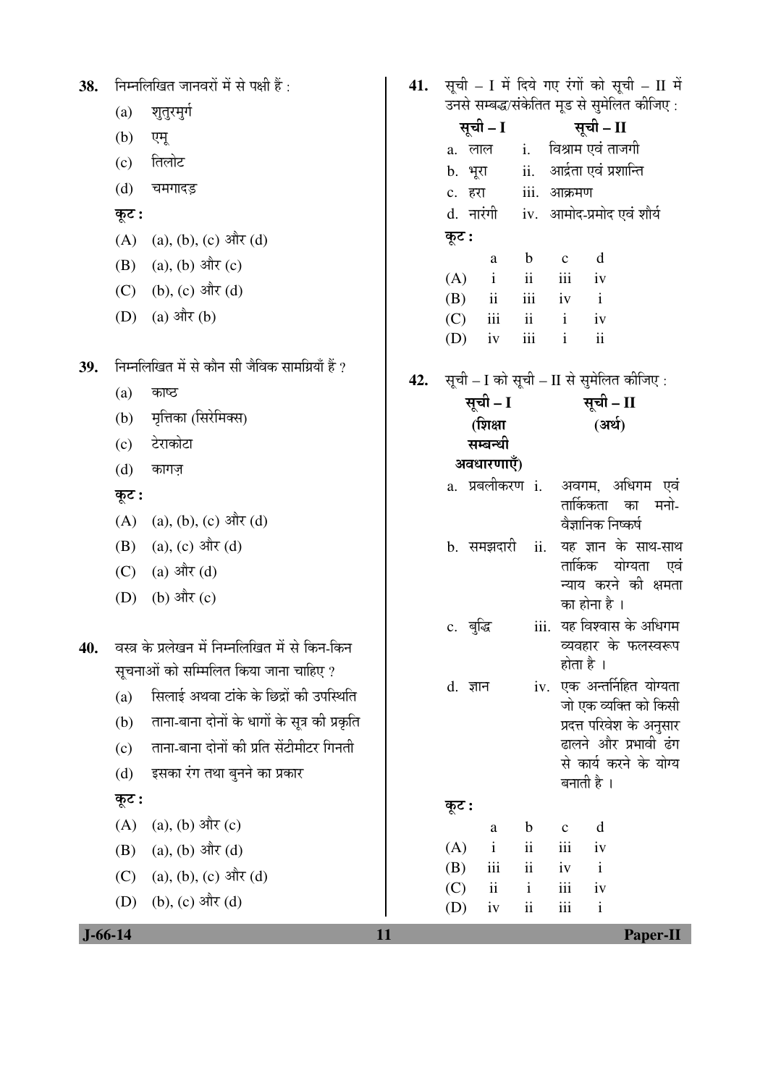| 38. |               | निम्नलिखित जानवरों में से पक्षी हैं :           | 41. |            |                                     |                                         |              |                            | सूची - I में दिये गए रंगों को सूची - II में |
|-----|---------------|-------------------------------------------------|-----|------------|-------------------------------------|-----------------------------------------|--------------|----------------------------|---------------------------------------------|
|     | (a)           | शुतुरमुर्ग                                      |     |            | सूची – I                            |                                         |              | सूची – II                  | उनसे सम्बद्ध/संकेतित मूड से सुमेलित कीजिए : |
|     | (b)           | एमू                                             |     |            | a. लाल                              |                                         |              | i. विश्राम एवं ताजगी       |                                             |
|     | (c)           | तिलोट                                           |     |            | b. भूरा                             |                                         |              | ii. आर्द्रता एवं प्रशान्ति |                                             |
|     | (d)           | चमगादड़                                         |     |            | c. हरा                              |                                         | iii. आक्रमण  |                            |                                             |
|     | कूट :         |                                                 |     |            | d. नारंगी iv. आमोद-प्रमोद एवं शौर्य |                                         |              |                            |                                             |
|     | (A)           | $(a), (b), (c)$ और $(d)$                        |     | कूट :      |                                     |                                         |              |                            |                                             |
|     | (B)           | (a), (b) और $(c)$                               |     |            | a                                   | $\mathbf b$                             | $\mathbf C$  | d                          |                                             |
|     |               | (C) (b), (c) और (d)                             |     | (A)<br>(B) | $\mathbf{i}$<br>$\rm ii$            | $\overline{\textbf{ii}}$<br>iii         | iii<br>iv    | iv<br>$\mathbf{i}$         |                                             |
|     |               | (D) (a) और (b)                                  |     | (C)        | iii                                 | $\overline{\mathbf{u}}$                 | $\mathbf{i}$ | iv                         |                                             |
|     |               |                                                 |     | (D)        | iv                                  | iii                                     | $\mathbf{i}$ | $\overline{\mathbf{i}}$    |                                             |
| 39. |               | निम्नलिखित में से कौन सी जैविक सामग्रियाँ हैं ? | 42. |            |                                     |                                         |              |                            | सूची - I को सूची - II से सुमेलित कीजिए:     |
|     | (a)           | काष्ठ                                           |     |            | सूची – I                            |                                         |              | सूची - II                  |                                             |
|     | (b)           | मृत्तिका (सिरेमिक्स)                            |     |            | (शिक्षा                             |                                         |              | (अर्थ)                     |                                             |
|     | (c)           | टेराकोटा                                        |     |            | सम्बन्धी                            |                                         |              |                            |                                             |
|     | (d)           | कागज़                                           |     |            | अवधारणाएँ)                          |                                         |              |                            |                                             |
|     | कूट :         |                                                 |     |            | a. प्रबलीकरण i.                     |                                         |              | तार्किकता                  | अवगम, अधिगम एवं<br>मनो-<br>का               |
|     | (A)           | (a), (b), (c) और (d)                            |     |            |                                     |                                         |              | वैज्ञानिक निष्कर्ष         |                                             |
|     | (B)           | (a), (c) और (d)                                 |     |            | b. समझदारी                          | ii.                                     |              |                            | यह ज्ञान के साथ-साथ                         |
|     | (C)           | (a) और (d)                                      |     |            |                                     |                                         |              |                            | तार्किक योग्यता एवं                         |
|     | (D)           | (b) और $(c)$                                    |     |            |                                     |                                         |              | का होना है ।               | न्याय करने की क्षमता                        |
|     |               |                                                 |     |            | c. बुद्धि                           |                                         |              |                            | iii. यह विश्वास के अधिगम                    |
| 40. |               | वस्त्र के प्रलेखन में निम्नलिखित में से किन-किन |     |            |                                     |                                         |              | होता है ।                  | व्यवहार के फलस्वरूप                         |
|     |               | सूचनाओं को सम्मिलित किया जाना चाहिए ?           |     |            | d. ज्ञान                            |                                         |              |                            | iv. एक अन्तर्निहित योग्यता                  |
|     | (a)           | सिलाई अथवा टांके के छिद्रों की उपस्थिति         |     |            |                                     |                                         |              |                            | जो एक व्यक्ति को किसी                       |
|     | (b)           | ताना-बाना दोनों के धागों के सूत्र की प्रकृति    |     |            |                                     |                                         |              |                            | प्रदत्त परिवेश के अनुसार                    |
|     | (c)           | ताना-बाना दोनों की प्रति सेंटीमीटर गिनती        |     |            |                                     |                                         |              |                            | ढालने और प्रभावी ढंग                        |
|     | (d)           | इसका रंग तथा बुनने का प्रकार                    |     |            |                                     |                                         |              | बनाती है ।                 | से कार्य करने के योग्य                      |
|     | कूट :         |                                                 |     | कूट :      |                                     |                                         |              |                            |                                             |
|     | (A)           | $(a), (b)$ और $(c)$                             |     |            | a                                   | $\mathbf b$                             | $\mathbf c$  | d                          |                                             |
|     | (B)           | (a), (b) और (d)                                 |     | (A)        | $\mathbf{i}$                        | ii                                      | iii          | iv                         |                                             |
|     | (C)           | (a), (b), (c) और (d)                            |     | (B)        | iii                                 | $\ddot{\mathbf{i}}$                     | iv           | $\mathbf{i}$               |                                             |
|     | (D)           | (b), (c) और (d)                                 |     | (C)<br>(D) | $\rm ii$<br>iv                      | $\mathbf{i}$<br>$\overline{\mathbf{u}}$ | iii<br>iii   | iv<br>$\mathbf{i}$         |                                             |
|     | $J - 66 - 14$ |                                                 |     |            |                                     |                                         |              |                            |                                             |
|     |               |                                                 | 11  |            |                                     |                                         |              |                            | <b>Paper-II</b>                             |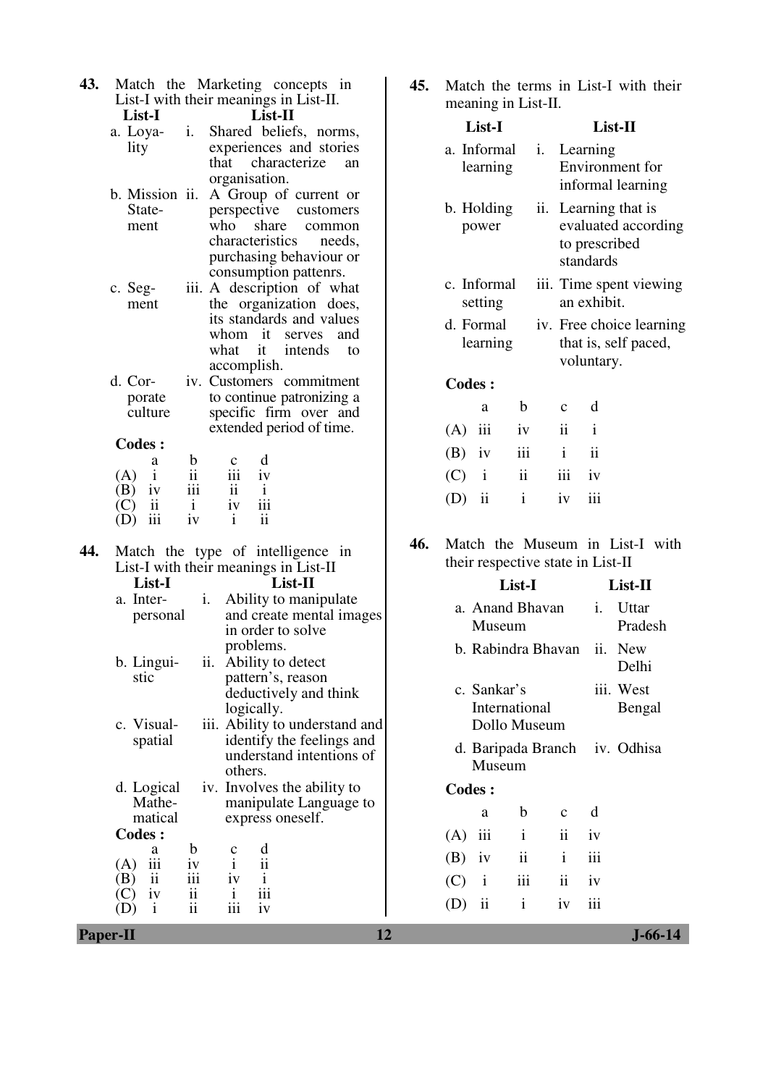|        | 43. Match the Marketing concepts in    |        |  |
|--------|----------------------------------------|--------|--|
|        | List-I with their meanings in List-II. |        |  |
| List-I |                                        | List-H |  |

|      | a. Loya- i. Shared beliefs, norms, |
|------|------------------------------------|
| lity | experiences and stories            |
|      | that characterize an               |
|      | organisation.                      |

- b. Mission ii. A Group of current or Statement perspective customers<br>who share common share common<br>teristics needs. characteristics purchasing behaviour or consumption pattenrs.
- c. Segment iii. A description of what the organization does, its standards and values whom it serves and what it intends to accomplish.
- d. Corporate culture iv. Customers commitment to continue patronizing a specific firm over and extended period of time.

|     | a                       | b         | $\mathbf{c}$ | d            |
|-----|-------------------------|-----------|--------------|--------------|
| (A) |                         | ii<br>iii | 111          | iv           |
| (B) | iv                      |           | ii           | $\mathbf{i}$ |
| (C) | $\overline{\mathbf{1}}$ |           | iv           | iii          |
| (D) | iii                     | iv        |              | ii           |

#### **44.** Match the type of intelligence in List-I with their meanings in List-II **List-I List-II**

|     | a. Inter-<br>personal                                                        |                                                                        |           | problems.                                      | <i>i.</i> Ability to manipulate<br>and create mental images<br>in order to solve        |
|-----|------------------------------------------------------------------------------|------------------------------------------------------------------------|-----------|------------------------------------------------|-----------------------------------------------------------------------------------------|
|     | b. Lingui-<br>stic                                                           |                                                                        |           | logically.                                     | ii. Ability to detect<br>pattern's, reason<br>deductively and think                     |
|     | c. Visual-<br>spatial                                                        |                                                                        | others.   |                                                | iii. Ability to understand and<br>identify the feelings and<br>understand intentions of |
|     | d. Logical<br>Mathe-<br>matical                                              |                                                                        |           |                                                | iv. Involves the ability to<br>manipulate Language to<br>express oneself.               |
|     | <b>Codes:</b>                                                                |                                                                        |           |                                                |                                                                                         |
| (A) | a<br>$\overline{\text{iii}}$<br>$\angle$ B $\angle$ ii<br>iv<br>$\mathbf{i}$ | b<br>1V<br>$\overline{\text{iii}}$<br>$\frac{1}{11}$<br>$\frac{1}{11}$ | iv<br>iii | $\overline{\ddot{\text{i}}}$<br>i<br>iii<br>1V |                                                                                         |

**45.** Match the terms in List-I with their  $\frac{1}{2}$  in  $\frac{1}{2}$  in T is  $\frac{1}{2}$ .

|     | meaning in List-II.                             |  |                                            |                     |    |                                                                                                                                                                     |                     |                                                  |  |  |  |
|-----|-------------------------------------------------|--|--------------------------------------------|---------------------|----|---------------------------------------------------------------------------------------------------------------------------------------------------------------------|---------------------|--------------------------------------------------|--|--|--|
|     | List-I<br>a. Informal<br>learning               |  |                                            |                     |    | List-II                                                                                                                                                             |                     |                                                  |  |  |  |
|     |                                                 |  |                                            |                     | i. | Learning<br>Environment for<br>informal learning<br>Learning that is<br>evaluated according<br>to prescribed<br>standards<br>iii. Time spent viewing<br>an exhibit. |                     |                                                  |  |  |  |
|     | b. Holding<br>power                             |  |                                            | ii.                 |    |                                                                                                                                                                     |                     |                                                  |  |  |  |
|     | c. Informal<br>setting<br>d. Formal<br>learning |  |                                            |                     |    |                                                                                                                                                                     |                     |                                                  |  |  |  |
|     |                                                 |  |                                            |                     |    |                                                                                                                                                                     | voluntary.          | iv. Free choice learning<br>that is, self paced, |  |  |  |
|     |                                                 |  | <b>Codes:</b>                              |                     |    |                                                                                                                                                                     |                     |                                                  |  |  |  |
|     |                                                 |  | a                                          | b                   |    | $\mathbf{C}$                                                                                                                                                        | d                   |                                                  |  |  |  |
|     |                                                 |  | $(A)$ iii                                  | iv                  |    | $\mathbf{ii}$                                                                                                                                                       | $\mathbf{i}$        |                                                  |  |  |  |
|     |                                                 |  | $(B)$ iv                                   | iii                 |    | i                                                                                                                                                                   | $\ddot{\mathbf{i}}$ |                                                  |  |  |  |
|     |                                                 |  | $(C)$ i                                    | $\ddot{\mathbf{i}}$ |    | iii                                                                                                                                                                 | iv                  |                                                  |  |  |  |
|     |                                                 |  | $(D)$ ii                                   | i                   |    | iv                                                                                                                                                                  | iii                 |                                                  |  |  |  |
| 46. |                                                 |  | Match<br>their respective state in List-II |                     |    |                                                                                                                                                                     |                     | the Museum in List-I with                        |  |  |  |
|     | List-I                                          |  |                                            |                     |    |                                                                                                                                                                     | List-II             |                                                  |  |  |  |
|     | a. Anand Bhavan<br>Museum<br>b. Rabindra Bhavan |  |                                            |                     | i. | Uttar<br>Pradesh                                                                                                                                                    |                     |                                                  |  |  |  |
|     |                                                 |  |                                            |                     |    | ii.                                                                                                                                                                 | <b>New</b><br>Delhi |                                                  |  |  |  |
|     | c. Sankar's<br>International<br>Dollo Museum    |  |                                            |                     |    |                                                                                                                                                                     |                     | iii. West<br>Bengal                              |  |  |  |

d. Baripada Branch iv. Odhisa Museum

#### **Codes :**

|           | a | b            | $c \, d$ |                     |
|-----------|---|--------------|----------|---------------------|
| $(A)$ iii |   | $\mathbf{i}$ |          | ii iv               |
|           |   | $(B)$ iv ii  |          | $i$ $\overline{ii}$ |
| $(C)$ i   |   | iii          | ii iv    |                     |
| $(D)$ ii  |   | $\mathbf{i}$ | iv iii   |                     |

**Paper-II** J-66-14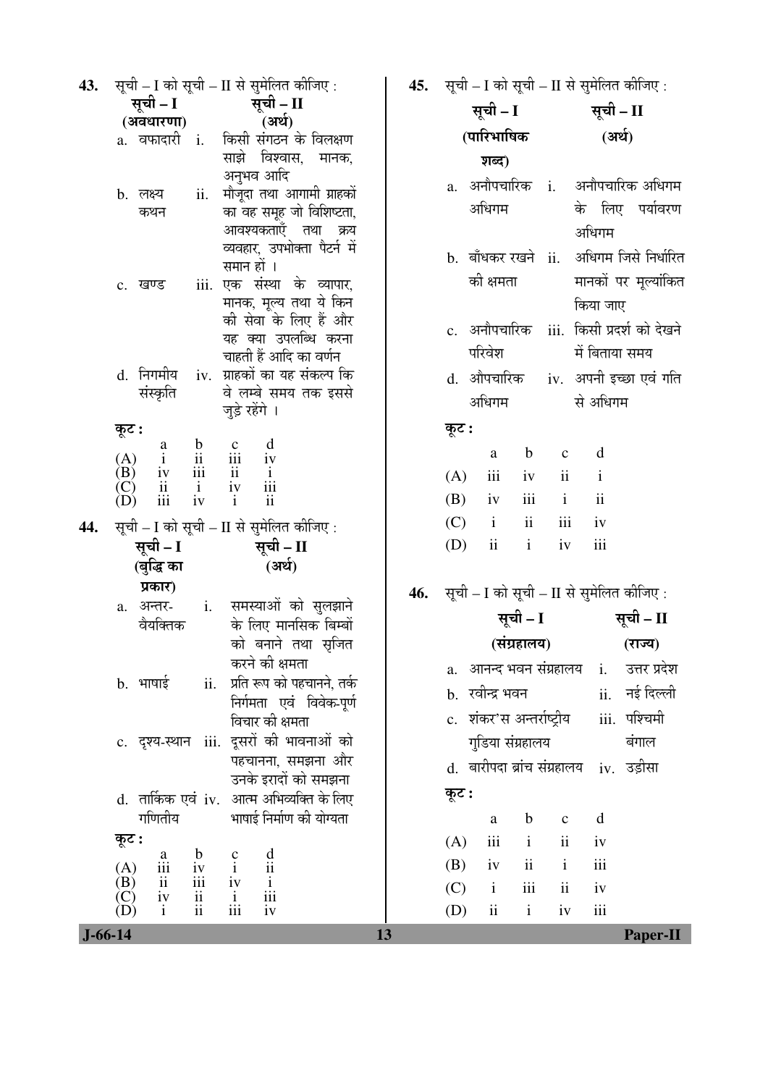| 43.           | सूची – I को सूची – II से सुमेलित कीजिए :                                                                                                         | 45. |                             | सूची – I को सूची – II से सुमेलित कीजिए : |  |  |  |
|---------------|--------------------------------------------------------------------------------------------------------------------------------------------------|-----|-----------------------------|------------------------------------------|--|--|--|
|               | सूची – I<br>सूची – II                                                                                                                            |     | सूची – I                    | सूची – II                                |  |  |  |
|               | (अर्थ)<br>(अवधारणा)                                                                                                                              |     | (पारिभाषिक                  | (अर्थ)                                   |  |  |  |
|               | a. वफादारी i.<br>किसी संगठन के विलक्षण                                                                                                           |     |                             |                                          |  |  |  |
|               | साझे विश्वास, मानक,<br>अनुभव आदि                                                                                                                 |     | शब्द)                       |                                          |  |  |  |
|               | मौजूदा तथा आगामी ग्राहकों<br>b. लक्ष्य<br>ii.                                                                                                    |     |                             | a. अनौपचारिक i. अनौपचारिक अधिगम          |  |  |  |
|               | का वह समूह जो विशिष्टता,<br>कथन                                                                                                                  |     | अधिगम                       | के लिए पर्यावरण                          |  |  |  |
|               | आवश्यकताएँ तथा क्रय                                                                                                                              |     |                             | अधिगम                                    |  |  |  |
|               | व्यवहार, उपभोक्ता पैटर्न में                                                                                                                     |     |                             |                                          |  |  |  |
|               | समान हों ।                                                                                                                                       |     | b. बाँधकर रखने ii.          | अधिगम जिसे निर्धारित                     |  |  |  |
|               | iii. एक संस्था के व्यापार,<br>c. खण्ड                                                                                                            |     | की क्षमता                   | मानकों पर मूल्यांकित                     |  |  |  |
|               | मानक, मूल्य तथा ये किन                                                                                                                           |     |                             | किया जाए                                 |  |  |  |
|               | की सेवा के लिए हैं और                                                                                                                            |     | c. अनौपचारिक                | iii.  किसी प्रदर्श को देखने              |  |  |  |
|               | यह क्या उपलब्धि करना                                                                                                                             |     | परिवेश                      | में बिताया समय                           |  |  |  |
|               | चाहती हैं आदि का वर्णन<br>d. निगमीय<br>iv. ग्राहकों का यह संकल्प कि                                                                              |     |                             |                                          |  |  |  |
|               | संस्कृति<br>वे लम्बे समय तक इससे                                                                                                                 |     | d. औपचारिक                  | iv.  अपनी इच्छा एवं गति                  |  |  |  |
|               | जुड़े रहेंगे ।                                                                                                                                   |     | अधिगम                       | से अधिगम                                 |  |  |  |
|               | कूट :                                                                                                                                            |     | कूट :                       |                                          |  |  |  |
|               | $\begin{tabular}{lllllllllll} & a & b & c & d \\ i & ii & iii & iv \\ iv & iii & ii & i \\ ii & i & iv & iii \\ iii & iv & i & ii \end{tabular}$ |     | $\mathbf b$<br>a            | $\mathbf d$<br>$\mathbf C$               |  |  |  |
|               | (A)<br>(B)                                                                                                                                       |     | iii<br>(A)<br>iv            | ii<br>$\mathbf{i}$                       |  |  |  |
|               | $\left( \mathrm{C} \right)$                                                                                                                      |     |                             | $\mathbf{ii}$                            |  |  |  |
|               | (D)                                                                                                                                              |     | iii<br>(B)<br>iv            | $\mathbf{i}$                             |  |  |  |
| 44.           | सूची – I को सूची – II से सुमेलित कीजिए :                                                                                                         |     | ii<br>(C)<br>$\mathbf{i}$   | $\rm iii$<br>iv                          |  |  |  |
|               | सूची – I<br>सूची – II                                                                                                                            |     | ii<br>(D)<br>$\mathbf{i}$   | iii<br>iv                                |  |  |  |
|               | (अर्थ)<br>(बुद्धि का                                                                                                                             |     |                             |                                          |  |  |  |
|               | प्रकार)                                                                                                                                          | 46. |                             | सूची – I को सूची – II से सुमेलित कीजिए : |  |  |  |
|               | समस्याओं को सुलझाने<br>$\mathbf{i}$ .<br>a. अन्तर-                                                                                               |     |                             | सूची – II<br>सूची – I                    |  |  |  |
|               | के लिए मानसिक बिम्बों<br>वैयक्तिक                                                                                                                |     |                             |                                          |  |  |  |
|               | को बनाने तथा स्रजित                                                                                                                              |     | (संग्रहालय)                 | (राज्य)                                  |  |  |  |
|               | करने की क्षमता                                                                                                                                   |     | a. आनन्द भवन संग्रहालय i.   | उत्तर प्रदेश                             |  |  |  |
|               | प्रति रूप को पहचानने, तर्क<br>b. भाषाई<br>ii.<br>निर्गमता एवं विवेक-पूर्ण                                                                        |     | b.   रवीन्द्र भवन           | ii. नई दिल्ली                            |  |  |  |
|               | विचार की क्षमता                                                                                                                                  |     | c.   शंकर'स अन्तर्राष्ट्रीय | iii. पश्चिमी                             |  |  |  |
|               | iii. दूसरों की भावनाओं को<br>c. दृश्य-स्थान                                                                                                      |     | गुडिया संग्रहालय            | बंगाल                                    |  |  |  |
|               | पहचानना, समझना और                                                                                                                                |     |                             |                                          |  |  |  |
|               | उनके इरादों को समझना                                                                                                                             |     | d. बारीपदा ब्रांच संग्रहालय | iv. उड़ीसा                               |  |  |  |
|               | d. तार्किक एवं iv. आत्म अभिव्यक्ति के लिए                                                                                                        |     | कूट :                       |                                          |  |  |  |
|               | गणितीय<br>भाषाई निर्माण की योग्यता                                                                                                               |     | $\mathbf b$<br>a            | d<br>$\mathbf{C}$                        |  |  |  |
|               | कूट :                                                                                                                                            |     | iii<br>$\mathbf{i}$<br>(A)  | ii<br>iv                                 |  |  |  |
|               | $\frac{d}{ii}$<br>$\frac{b}{iv}$<br>$\frac{c}{i}$<br>$\mathbf{a}$                                                                                |     | $\mathbf{ii}$               | iii<br>$\mathbf{i}$                      |  |  |  |
|               | $\begin{pmatrix} A \\ B \end{pmatrix}$<br>iii<br>$\overline{\text{iii}}$<br>$\mathbf{ii}$                                                        |     | (B)<br>iv                   |                                          |  |  |  |
|               | $\overline{\frac{i}{\text{iii}}}$<br>$\frac{iv}{i}$<br>(C)<br>(D)<br>ii<br>iv                                                                    |     | (C)<br>$\mathbf{i}$<br>iii  | $\mathbf{ii}$<br>iv                      |  |  |  |
|               | ii<br>iii<br>$\mathbf{i}$<br>iv                                                                                                                  |     | ii<br>(D)<br>$\mathbf{i}$   | iii<br>iv                                |  |  |  |
| $J - 66 - 14$ | 13                                                                                                                                               |     |                             | <b>Paper-II</b>                          |  |  |  |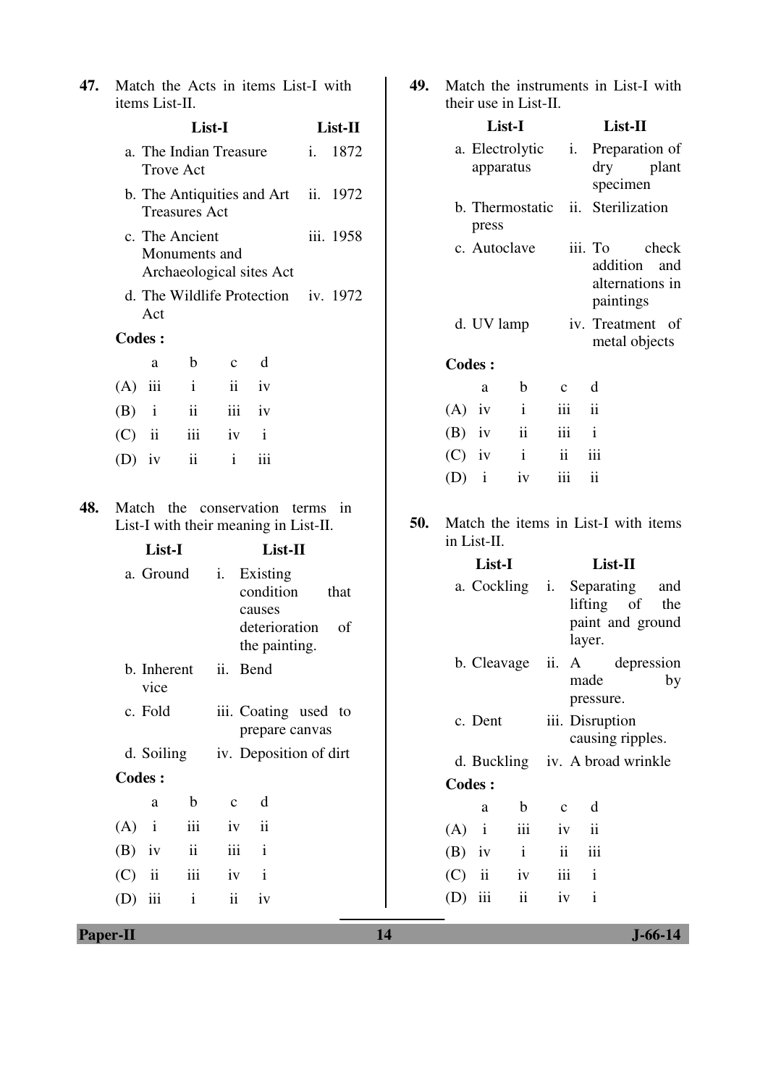| 47. | Match the Acts in items List-I with<br>items List-II.                                              | 49. | Match the instruments in List-I with<br>their use in List-II.                                           |  |  |  |  |
|-----|----------------------------------------------------------------------------------------------------|-----|---------------------------------------------------------------------------------------------------------|--|--|--|--|
|     | List-I<br>List-II                                                                                  |     | List-I<br>List-II                                                                                       |  |  |  |  |
|     | a. The Indian Treasure<br>1872<br>$i$ .<br><b>Trove Act</b>                                        |     | a. Electrolytic<br>Preparation of<br>i.<br>dry<br>plant<br>apparatus<br>specimen                        |  |  |  |  |
|     | b. The Antiquities and Art<br>ii. 1972<br><b>Treasures Act</b>                                     |     | ii. Sterilization<br>b. Thermostatic<br>press                                                           |  |  |  |  |
|     | c. The Ancient<br>iii. 1958<br>Monuments and<br>Archaeological sites Act                           |     | c. Autoclave<br>iii. To<br>check<br>addition<br>and<br>alternations in                                  |  |  |  |  |
|     | d. The Wildlife Protection<br>iv. 1972<br>Act                                                      |     | paintings                                                                                               |  |  |  |  |
|     | <b>Codes:</b>                                                                                      |     | iv. Treatment of<br>d. UV lamp<br>metal objects                                                         |  |  |  |  |
|     | $\mathbf b$<br>d<br>$\mathbf{C}$<br>a                                                              |     | <b>Codes:</b>                                                                                           |  |  |  |  |
|     | (A)<br>iii<br>$\mathbf{i}$<br>$\overline{\mathbf{u}}$<br>iv                                        |     | $\mathbf b$<br>d<br>$\mathbf{C}$<br>a                                                                   |  |  |  |  |
|     | $\ddot{\rm n}$<br>(B)<br>$\mathbf{i}$<br>iii<br>iv                                                 |     | $\mathbf{i}$<br>iii<br>$\ddot{\mathbf{i}}$<br>$(A)$ iv                                                  |  |  |  |  |
|     | iii<br>$\mathbf{i}$<br>(C)<br>$\overline{\mathbf{u}}$<br>iv                                        |     | $\mathbf{i}$<br>$\ddot{\textbf{i}}$<br>$(B)$ iv<br>$\overline{111}$                                     |  |  |  |  |
|     | ii<br>$\mathbf{i}$<br>iii<br>$(D)$ iv                                                              |     | iii<br>$\mathbf{ii}$<br>$(C)$ iv<br>$\mathbf{i}$<br>iii<br>$\ddot{\rm ii}$<br>$\mathbf{i}$<br>(D)<br>iv |  |  |  |  |
| 48. | Match the conservation terms in<br>List-I with their meaning in List-II.<br>List-I<br>List-II      | 50. | Match the items in List-I with items<br>in List-II.<br>List-I<br>List-II                                |  |  |  |  |
|     | Existing<br>a. Ground<br>i.<br>condition<br>that<br>causes<br>deterioration<br>of<br>the painting. |     | a. Cockling<br>Separating<br>i.<br>and<br>lifting<br>of<br>the<br>paint and ground<br>layer.            |  |  |  |  |
|     | ii. Bend<br>b. Inherent<br>vice                                                                    |     | b. Cleavage<br>ii. A<br>depression<br>made<br>by<br>pressure.                                           |  |  |  |  |
|     | c. Fold<br>iii. Coating used to<br>prepare canvas                                                  |     | c. Dent<br>iii. Disruption<br>causing ripples.                                                          |  |  |  |  |
|     | iv. Deposition of dirt<br>d. Soiling                                                               |     | iv. A broad wrinkle<br>d. Buckling                                                                      |  |  |  |  |
|     | <b>Codes:</b>                                                                                      |     | <b>Codes:</b>                                                                                           |  |  |  |  |
|     | d<br>$\mathbf b$<br>$\mathbf{C}$<br>a<br>iii<br>$\mathbf{i}$<br>$\overline{\mathbf{1}}$            |     | $\mathbf b$<br>d<br>$\rm{a}$<br>$\mathbf c$                                                             |  |  |  |  |
|     | (A)<br>iv<br>$\rm ii$<br>iii<br>$\mathbf{i}$<br>(B)<br>iv                                          |     | iii<br>$\mathbf{i}$<br>(A)<br>iv<br>$\mathbf{ii}$<br>$\ddot{\rm ii}$                                    |  |  |  |  |
|     | iii<br>(C)<br>$\mathbf{ii}$<br>iv<br>$\mathbf{i}$                                                  |     | $\rm i$<br>iii<br>(B)<br>iv<br>iii<br>$\ddot{\mathbf{i}}$<br>$\mathbf{i}$<br>(C)<br>iv                  |  |  |  |  |
|     | $\rm i$<br>$\ddot{\mathbf{i}}$<br>iii<br>iv<br>(D)                                                 |     | $\mathbf{ii}$<br>iii<br>$\mathbf{i}$<br>(D)<br>iv                                                       |  |  |  |  |
|     |                                                                                                    |     |                                                                                                         |  |  |  |  |
|     | 14<br>$J - 66 - 14$<br><b>Paper-II</b>                                                             |     |                                                                                                         |  |  |  |  |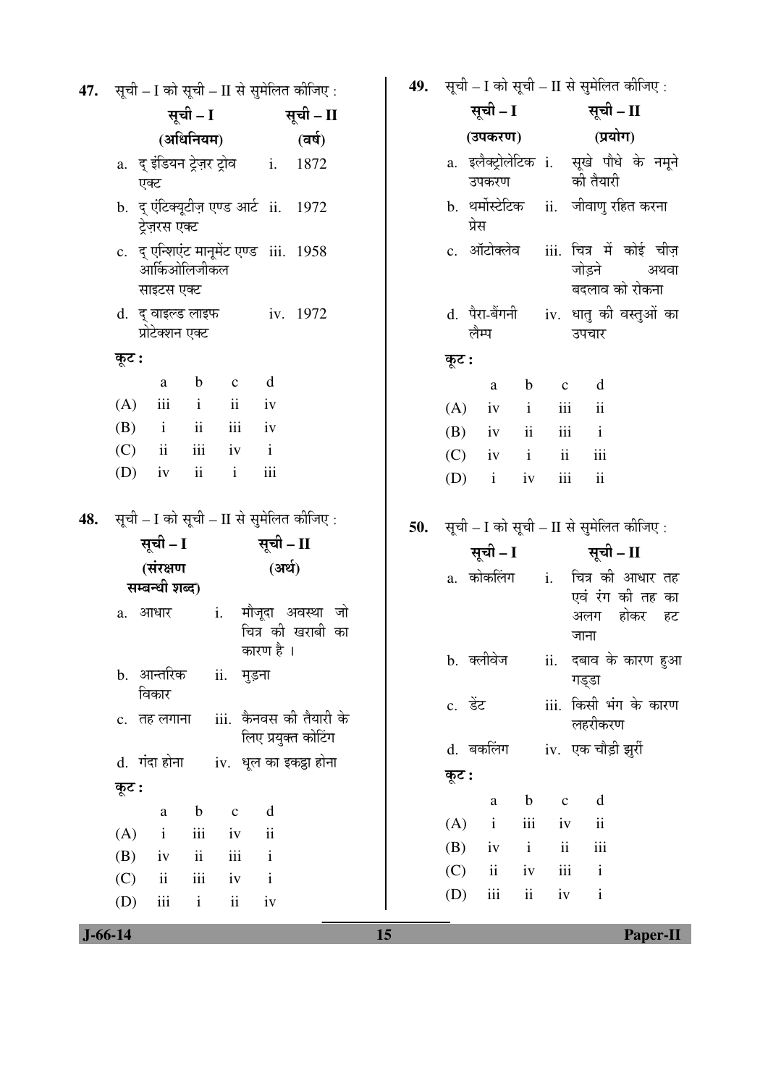| 47. | सूची - I को सूची - II से सुमेलित कीजिए:                                                 |     | <b>49.</b> सूची – I को सूची – II से सुमेलित कीजिए : |              |                    |                          |                                                                      |
|-----|-----------------------------------------------------------------------------------------|-----|-----------------------------------------------------|--------------|--------------------|--------------------------|----------------------------------------------------------------------|
|     | सूची – I<br>सूची – II                                                                   |     |                                                     |              | सूची – I सूची – II |                          |                                                                      |
|     | (अधिनियम)<br>(वर्ष)                                                                     |     | (उपकरण)                                             |              |                    | (प्रयोग)                 |                                                                      |
|     | a. द् इंडियन ट्रेज़र ट्रोव       i.<br>1872<br>एक्ट                                     |     | उपकरण                                               |              |                    | की तैयारी                | a. इलैक्ट्रोलेटिक i. सूखे पौधे के नमूने                              |
|     | b. द् एंटिक्यूटीज़ एण्ड आर्ट ii. 1972<br>ट्रेज़रस एक्ट                                  |     | b. थर्मोस्टेटिक ii. जीवाणु रहित करना<br>प्रेस       |              |                    |                          |                                                                      |
|     | c. दू एन्शिएंट मानूमेंट एण्ड iii. 1958<br>आर्किओलिजीकल<br>साइटस एक्ट                    |     |                                                     |              |                    | जोडने<br>बदलाव को रोकना  | c. ऑटोक्लेव iii. चित्र में कोई चीज़<br>अथवा                          |
|     | d. $\xi$ वाइल्ड लाइफ iv. 1972<br>प्रोटेक्शन एक्ट                                        |     | लैम्प                                               |              |                    | उपचार                    | d. पैरा-बैंगनी <i>iv.</i> धातु की वस्तुओं का                         |
|     | कूट :                                                                                   |     | कूट :                                               |              |                    |                          |                                                                      |
|     | d<br>$\mathbf b$<br>$\mathbf c$<br>a                                                    |     | a                                                   | $\mathbf b$  | $\mathbf c$        | d                        |                                                                      |
|     | iii<br>$\overline{\mathbf{u}}$<br>(A)<br>$\mathbf{i}$<br>iv                             |     | (A)<br>iv                                           | $\mathbf{i}$ | iii                | $\overline{\textbf{ii}}$ |                                                                      |
|     | iii<br>(B)<br>$\ddot{\mathbf{i}}$<br>$\mathbf{i}$<br>iv                                 |     | (B)<br>iv                                           | $\rm ii$     | iii                | $\mathbf{i}$             |                                                                      |
|     | iii<br>(C)<br>ii<br>$\mathbf{i}$<br>iv                                                  |     | (C)<br>iv                                           | $\mathbf{i}$ | $\ddot{\rm{11}}$   | iii                      |                                                                      |
|     | iii<br>(D)<br>$\mathbf{ii}$<br>$\mathbf{i}$<br>iv                                       |     | $\mathbf{i}$<br>(D)                                 | iv           | $\rm iii$          | $\mathbf{ii}$            |                                                                      |
| 48. | सूची – I को सूची – II से सुमेलित कीजिए :<br>सूची – I<br>सूची – II<br>(संरक्षण<br>(अर्थ) | 50. | सूची - I को सूची - II से सुमेलित कीजिए:             |              |                    | सूची – I सूची – II       |                                                                      |
|     | सम्बन्धी शब्द)<br>मौजूदा अवस्था जो<br>i.<br>a. आधार                                     |     |                                                     |              |                    | अलग                      | a. कोकलिंग   i.   चित्र की आधार तह<br>एवं रंग की तह का<br>होकर<br>हट |
|     | चित्र की खराबी का<br>कारण है ।<br>b. आन्तरिक<br>ii. मुड़ना                              |     | b. क्लीवेज                                          |              |                    | जाना<br>गड्डा            | ii. दबाव के कारण हुआ                                                 |
|     | विकार<br>iii.  कैनवस की तैयारी के<br>c. तह लगाना                                        |     | c. डेंट                                             |              |                    | लहरीकरण                  | iii. किसी भंग के कारण                                                |
|     | लिए प्रयुक्त कोटिंग<br>d. गंदा होना<br>iv. धूल का इकट्ठा होना                           |     | d. बकलिंग<br>कूट :                                  |              |                    | iv. एक चौड़ी झुर्री      |                                                                      |
|     | कूट :                                                                                   |     | $\mathbf{a}$                                        | $\mathbf b$  | $\mathbf{C}$       | $\mathbf d$              |                                                                      |
|     | d<br>$\mathbf b$<br>$\rm{a}$<br>$\mathbf C$                                             |     | (A)<br>$\mathbf{i}$                                 | iii          | iv                 | $\overline{\mathbf{u}}$  |                                                                      |
|     | iii<br>$\ddot{\mathbf{i}}$<br>(A)<br>$\mathbf{i}$<br>iv                                 |     | (B)<br>iv                                           | $\mathbf{i}$ | $\mathbf{ii}$      | iii                      |                                                                      |
|     | ii<br>iii<br>(B)<br>$\mathbf{i}$<br>iv                                                  |     | (C)<br>$\mathbf{ii}$                                | iv           | iii                | $\mathbf{i}$             |                                                                      |
|     | iii<br>$\mathbf{ii}$<br>(C)<br>$\mathbf{i}$<br>iv                                       |     | iii<br>(D)                                          | $\rm ii$     | iv                 | $\mathbf{i}$             |                                                                      |
|     | iii<br>(D)<br>$\mathbf{i}$<br>$\ddot{\rm n}$<br>iv                                      |     |                                                     |              |                    |                          |                                                                      |

 $J - 66 - 14$ 

 $\overline{15}$ 

Paper-II